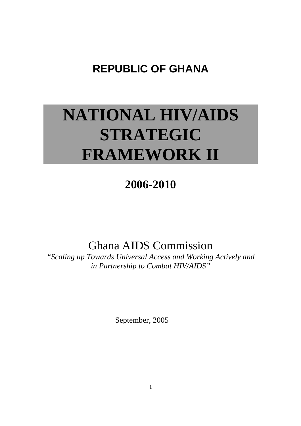# **REPUBLIC OF GHANA**

# **NATIONAL HIV/AIDS STRATEGIC FRAMEWORK II**

# **2006-2010**

# Ghana AIDS Commission

*"Scaling up Towards Universal Access and Working Actively and in Partnership to Combat HIV/AIDS"* 

September, 2005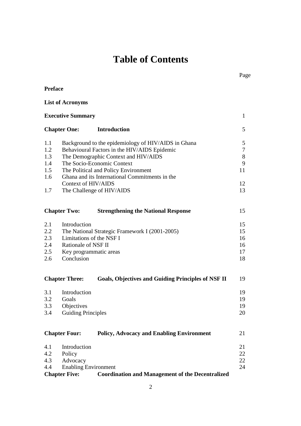# **Table of Contents**

| <b>Preface</b>      |                             |                                                           |              |  |  |
|---------------------|-----------------------------|-----------------------------------------------------------|--------------|--|--|
|                     | <b>List of Acronyms</b>     |                                                           |              |  |  |
|                     | <b>Executive Summary</b>    |                                                           | $\mathbf{1}$ |  |  |
| <b>Chapter One:</b> |                             | <b>Introduction</b>                                       | 5            |  |  |
| 1.1                 |                             | Background to the epidemiology of HIV/AIDS in Ghana       | 5            |  |  |
| 1.2                 |                             | Behavioural Factors in the HIV/AIDS Epidemic              | 7            |  |  |
| 1.3                 |                             | The Demographic Context and HIV/AIDS                      | $8\,$        |  |  |
| 1.4                 |                             | The Socio-Economic Context                                | 9            |  |  |
| 1.5                 |                             | The Political and Policy Environment                      | 11           |  |  |
| 1.6                 |                             | Ghana and its International Commitments in the            |              |  |  |
|                     | Context of HIV/AIDS         |                                                           | 12           |  |  |
| 1.7                 |                             | The Challenge of HIV/AIDS                                 | 13           |  |  |
|                     | <b>Chapter Two:</b>         | <b>Strengthening the National Response</b>                | 15           |  |  |
| 2.1                 | Introduction                |                                                           | 15           |  |  |
| $2.2^{\circ}$       |                             | The National Strategic Framework I (2001-2005)            | 15           |  |  |
| 2.3                 | Limitations of the NSF I    |                                                           | 16           |  |  |
| 2.4                 | Rationale of NSF II         |                                                           | 16           |  |  |
| 2.5                 | Key programmatic areas      |                                                           | 17           |  |  |
| 2.6                 | Conclusion                  |                                                           | 18           |  |  |
|                     | <b>Chapter Three:</b>       | <b>Goals, Objectives and Guiding Principles of NSF II</b> | 19           |  |  |
| 3.1                 | Introduction                |                                                           | 19           |  |  |
| 3.2                 | Goals                       |                                                           | 19           |  |  |
| 3.3                 | Objectives                  |                                                           | 19           |  |  |
| 3.4                 | <b>Guiding Principles</b>   |                                                           | 20           |  |  |
|                     | <b>Chapter Four:</b>        | <b>Policy, Advocacy and Enabling Environment</b>          | 21           |  |  |
| 4.1                 | Introduction                |                                                           | 21           |  |  |
| 4.2                 | Policy                      |                                                           | 22           |  |  |
| 4.3                 | Advocacy                    |                                                           | 22           |  |  |
| 4.4                 | <b>Enabling Environment</b> |                                                           | 24           |  |  |
|                     | <b>Chapter Five:</b>        | <b>Coordination and Management of the Decentralized</b>   |              |  |  |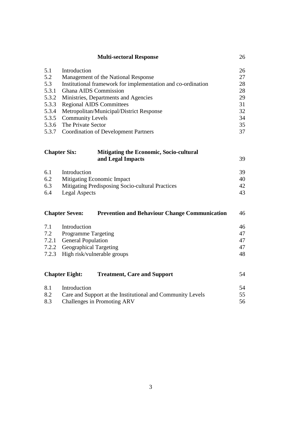| <b>Multi-sectoral Response</b>                                        |                                                                               |    |  |  |  |
|-----------------------------------------------------------------------|-------------------------------------------------------------------------------|----|--|--|--|
| 5.1                                                                   | Introduction                                                                  | 26 |  |  |  |
| 5.2                                                                   | Management of the National Response                                           |    |  |  |  |
| 5.3                                                                   | Institutional framework for implementation and co-ordination                  | 28 |  |  |  |
| 5.3.1                                                                 | Ghana AIDS Commission                                                         |    |  |  |  |
| 5.3.2                                                                 | Ministries, Departments and Agencies                                          |    |  |  |  |
| 5.3.3                                                                 | <b>Regional AIDS Committees</b>                                               |    |  |  |  |
| 5.3.4                                                                 | Metropolitan/Municipal/District Response                                      |    |  |  |  |
| 5.3.5                                                                 | <b>Community Levels</b>                                                       |    |  |  |  |
| 5.3.6                                                                 | The Private Sector                                                            |    |  |  |  |
| 5.3.7                                                                 | <b>Coordination of Development Partners</b>                                   | 37 |  |  |  |
| <b>Chapter Six:</b><br><b>Mitigating the Economic, Socio-cultural</b> |                                                                               |    |  |  |  |
|                                                                       | and Legal Impacts                                                             | 39 |  |  |  |
| 6.1                                                                   | Introduction                                                                  | 39 |  |  |  |
| 6.2                                                                   | Mitigating Economic Impact                                                    | 40 |  |  |  |
| 6.3                                                                   | Mitigating Predisposing Socio-cultural Practices                              | 42 |  |  |  |
| 6.4                                                                   | <b>Legal Aspects</b>                                                          |    |  |  |  |
|                                                                       | <b>Chapter Seven:</b><br><b>Prevention and Behaviour Change Communication</b> | 46 |  |  |  |
| 7.1                                                                   | Introduction                                                                  | 46 |  |  |  |
| 7.2                                                                   | <b>Programme Targeting</b>                                                    | 47 |  |  |  |
| 7.2.1                                                                 | <b>General Population</b>                                                     | 47 |  |  |  |
| 7.2.2                                                                 | <b>Geographical Targeting</b>                                                 | 47 |  |  |  |
| 7.2.3                                                                 | High risk/vulnerable groups                                                   |    |  |  |  |
|                                                                       | <b>Chapter Eight:</b><br><b>Treatment, Care and Support</b>                   | 54 |  |  |  |
| 8.1                                                                   | Introduction                                                                  | 54 |  |  |  |
| 8.2                                                                   | Care and Support at the Institutional and Community Levels                    |    |  |  |  |
| 8.3                                                                   | Challenges in Promoting ARV                                                   | 56 |  |  |  |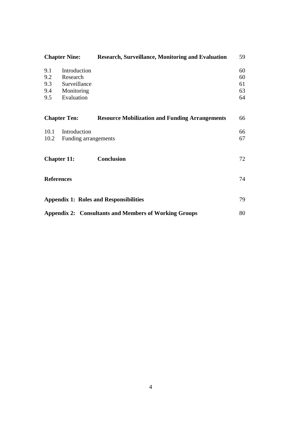| <b>Chapter Nine:</b>                                         |                                                                      | <b>Research, Surveillance, Monitoring and Evaluation</b> | 59                         |
|--------------------------------------------------------------|----------------------------------------------------------------------|----------------------------------------------------------|----------------------------|
| 9.1<br>9.2<br>9.3<br>9.4<br>9.5                              | Introduction<br>Research<br>Surveillance<br>Monitoring<br>Evaluation |                                                          | 60<br>60<br>61<br>63<br>64 |
|                                                              | <b>Chapter Ten:</b>                                                  | <b>Resource Mobilization and Funding Arrangements</b>    | 66                         |
| 10.1<br>10.2                                                 | Introduction<br>Funding arrangements                                 |                                                          | 66<br>67                   |
| <b>Chapter 11:</b>                                           |                                                                      | Conclusion                                               | 72                         |
| <b>References</b>                                            |                                                                      |                                                          | 74                         |
| <b>Appendix 1: Roles and Responsibilities</b>                |                                                                      |                                                          | 79                         |
| <b>Appendix 2: Consultants and Members of Working Groups</b> |                                                                      |                                                          |                            |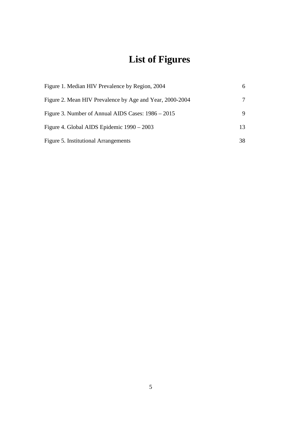# **List of Figures**

| Figure 1. Median HIV Prevalence by Region, 2004          | 6  |
|----------------------------------------------------------|----|
| Figure 2. Mean HIV Prevalence by Age and Year, 2000-2004 | 7  |
| Figure 3. Number of Annual AIDS Cases: 1986 – 2015       | 9  |
| Figure 4. Global AIDS Epidemic 1990 – 2003               | 13 |
| Figure 5. Institutional Arrangements                     | 38 |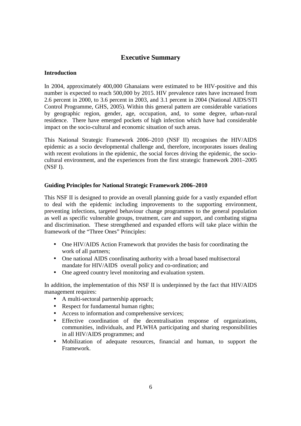# **Executive Summary**

# **Introduction**

In 2004, approximately 400,000 Ghanaians were estimated to be HIV-positive and this number is expected to reach 500,000 by 2015. HIV prevalence rates have increased from 2.6 percent in 2000, to 3.6 percent in 2003, and 3.1 percent in 2004 (National AIDS/STI Control Programme, GHS, 2005). Within this general pattern are considerable variations by geographic region, gender, age, occupation, and, to some degree, urban-rural residence. There have emerged pockets of high infection which have had considerable impact on the socio-cultural and economic situation of such areas.

This National Strategic Framework 2006–2010 (NSF II) recognises the HIV/AIDS epidemic as a socio developmental challenge and, therefore, incorporates issues dealing with recent evolutions in the epidemic, the social forces driving the epidemic, the sociocultural environment, and the experiences from the first strategic framework 2001–2005 (NSF I).

# **Guiding Principles for National Strategic Framework 2006–2010**

This NSF II is designed to provide an overall planning guide for a vastly expanded effort to deal with the epidemic including improvements to the supporting environment, preventing infections, targeted behaviour change programmes to the general population as well as specific vulnerable groups, treatment, care and support, and combating stigma and discrimination. These strengthened and expanded efforts will take place within the framework of the "Three Ones" Principles:

- One HIV/AIDS Action Framework that provides the basis for coordinating the work of all partners;
- One national AIDS coordinating authority with a broad based multisectoral mandate for HIV/AIDS overall policy and co-ordination; and
- One agreed country level monitoring and evaluation system.

In addition, the implementation of this NSF II is underpinned by the fact that HIV/AIDS management requires:

- A multi-sectoral partnership approach;
- Respect for fundamental human rights;
- Access to information and comprehensive services:
- Effective coordination of the decentralisation response of organizations, communities, individuals, and PLWHA participating and sharing responsibilities in all HIV/AIDS programmes; and
- Mobilization of adequate resources, financial and human, to support the Framework.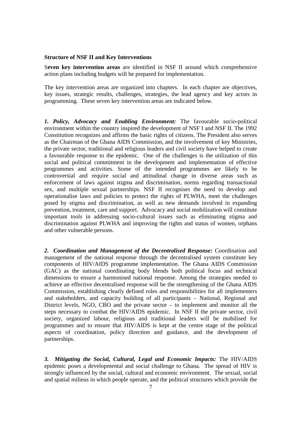#### **Structure of NSF II and Key Interventions**

S**even key intervention areas** are identified in NSF II around which comprehensive action plans including budgets will be prepared for implementation.

The key intervention areas are organized into chapters. In each chapter are objectives, key issues, strategic results, challenges, strategies, the lead agency and key actors in programming. These seven key intervention areas are indicated below.

*1. Policy, Advocacy and Enabling Environment:* The favourable socio-political environment within the country inspired the development of NSF I and NSF II. The 1992 Constitution recognizes and affirms the basic rights of citizens. The President also serves as the Chairman of the Ghana AIDS Commission, and the involvement of key Ministries, the private sector, traditional and religious leaders and civil society have helped to create a favourable response to the epidemic. One of the challenges is the utilization of this social and political commitment in the development and implementation of effective programmes and activities. Some of the intended programmes are likely to be controversial and require social and attitudinal change in diverse areas such as enforcement of laws against stigma and discrimination, norms regarding transactional sex, and multiple sexual partnerships. NSF II recognises the need to develop and operationalise laws and policies to protect the rights of PLWHA, meet the challenges posed by stigma and discrimination, as well as new demands involved in expanding prevention, treatment, care and support. Advocacy and social mobilization will constitute important tools in addressing socio-cultural issues such as eliminating stigma and discrimination against PLWHA and improving the rights and status of women, orphans and other vulnerable persons.

*2. Coordination and Management of the Decentralised Response:* Coordination and management of the national response through the decentralised system constitute key components of HIV/AIDS programme implementation. The Ghana AIDS Commission (GAC) as the national coordinating body blends both political focus and technical dimensions to ensure a harmonised national response. Among the strategies needed to achieve an effective decentralised response will be the strengthening of the Ghana AIDS Commission, establishing clearly defined roles and responsibilities for all implementers and stakeholders, and capacity building of all participants – National, Regional and District levels, NGO, CBO and the private sector – to implement and monitor all the steps necessary to combat the HIV/AIDS epidemic. In NSF II the private sector, civil society, organized labour, religious and traditional leaders will be mobilised for programmes and to ensure that HIV/AIDS is kept at the centre stage of the political aspects of coordination, policy direction and guidance, and the development of partnerships.

*3. Mitigating the Social, Cultural, Legal and Economic Impacts:* The HIV/AIDS epidemic poses a developmental and social challenge to Ghana. The spread of HIV is strongly influenced by the social, cultural and economic environment. The sexual, social and spatial milieus in which people operate, and the political structures which provide the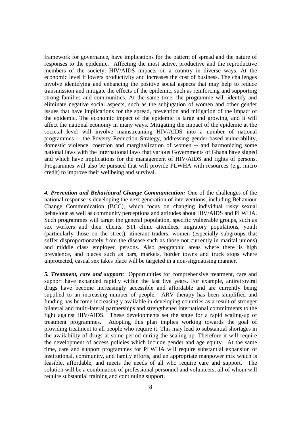framework for governance, have implications for the pattern of spread and the nature of responses to the epidemic. Affecting the most active, productive and the reproductive members of the society, HIV/AIDS impacts on a country in diverse ways. At the economic level it lowers productivity and increases the cost of business. The challenges involve identifying and enhancing the positive social aspects that may help to reduce transmission and mitigate the effects of the epidemic, such as reinforcing and supporting strong families and communities. At the same time, the programme will identify and eliminate negative social aspects, such as the subjugation of women and other gender issues that have implications for the spread, prevention and mitigation of the impact of the epidemic. The economic impact of the epidemic is large and growing, and it will affect the national economy in many ways. Mitigating the impact of the epidemic at the societal level will involve mainstreaming HIV/AIDS into a number of national programmes -- the Poverty Reduction Strategy, addressing gender-based vulnerability, domestic violence, coercion and marginalization of women -- and harmonizing some national laws with the international laws that various Governments of Ghana have signed and which have implications for the management of HIV/AIDS and rights of persons. Programmes will also be pursued that will provide PLWHA with resources (e.g. micro credit) to improve their wellbeing and survival.

*4. Prevention and Behavioural Change Communication:* One of the challenges of the national response is developing the next generation of interventions, including Behaviour Change Communication (BCC), which focus on changing individual risky sexual behaviour as well as community perceptions and attitudes about HIV/AIDS and PLWHA. Such programmes will target the general population, specific vulnerable groups, such as sex workers and their clients, STI clinic attendees, migratory populations, youth (particularly those on the street), itinerant traders, women (especially subgroups that suffer disproportionately from the disease such as those not currently in marital unions) and middle class employed persons. Also geographic areas where there is high prevalence, and places such as bars, markets, border towns and truck stops where unprotected, casual sex takes place will be targeted in a non-stigmatising manner.

*5. Treatment, care and support*: Opportunities for comprehensive treatment, care and support have expanded rapidly within the last five years. For example, antiretroviral drugs have become increasingly accessible and affordable and are currently being supplied to an increasing number of people. ARV therapy has been simplified and funding has become increasingly available in developing countries as a result of stronger bilateral and multi-lateral partnerships and strengthened international commitments to the fight against HIV/AIDS. These developments set the stage for a rapid scaling-up of treatment programmes. Adopting this plan implies working towards the goal of providing treatment to all people who require it. This may lead to substantial shortages in the availability of drugs at some period during the scaling-up. Therefore it will require the development of access policies which include gender and age equity. At the same time, care and support programmes for PLWHA will require substantial expansion of institutional, community, and family efforts, and an appropriate manpower mix which is feasible, affordable, and meets the needs of all who require care and support. The solution will be a combination of professional personnel and volunteers, all of whom will require substantial training and continuing support.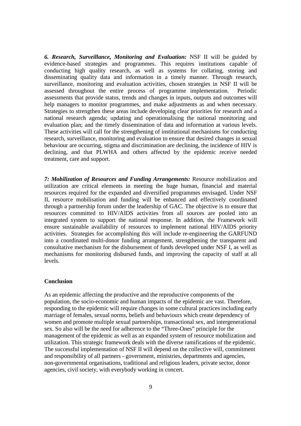*6. Research, Surveillance, Monitoring and Evaluation:* NSF II will be guided by evidence-based strategies and programmes. This requires institutions capable of conducting high quality research, as well as systems for collating, storing and disseminating quality data and information in a timely manner. Through research, surveillance, monitoring and evaluation activities, chosen strategies in NSF II will be assessed throughout the entire process of programme implementation. Periodic assessments that provide status, trends and changes in inputs, outputs and outcomes will help managers to monitor programmes, and make adjustments as and when necessary. Strategies to strengthen these areas include developing clear priorities for research and a national research agenda; updating and operationalising the national monitoring and evaluation plan; and the timely dissemination of data and information at various levels. These activities will call for the strengthening of institutional mechanisms for conducting research, surveillance, monitoring and evaluation to ensure that desired changes in sexual behaviour are occurring, stigma and discrimination are declining, the incidence of HIV is declining, and that PLWHA and others affected by the epidemic receive needed treatment, care and support.

*7: Mobilization of Resources and Funding Arrangements:* Resource mobilization and utilization are critical elements in meeting the huge human, financial and material resources required for the expanded and diversified programmes envisaged. Under NSF II, resource mobilisation and funding will be enhanced and effectively coordinated through a partnership forum under the leadership of GAC. The objective is to ensure that resources committed to HIV/AIDS activities from all sources are pooled into an integrated system to support the national response. In addition, the Framework will ensure sustainable availability of resources to implement national HIV/AIDS priority activities. Strategies for accomplishing this will include re-engineering the GARFUND into a coordinated multi-donor funding arrangement, strengthening the transparent and consultative mechanism for the disbursement of funds developed under NSF I, as well as mechanisms for monitoring disbursed funds, and improving the capacity of staff at all levels.

#### **Conclusion**

As an epidemic affecting the productive and the reproductive components of the population, the socio-economic and human impacts of the epidemic are vast. Therefore, responding to the epidemic will require changes in some cultural practices including early marriage of females, sexual norms, beliefs and behaviours which create dependency of women and promote multiple sexual partnerships, transactional sex, and intergenerational sex. So also will be the need for adherence to the "Three-Ones" principle for the management of the epidemic as well as an expanded system of resource mobilization and utilization. This strategic framework deals with the diverse ramifications of the epidemic. The successful implementation of NSF II will depend on the collective will, commitment and responsibility of all partners - government, ministries, departments and agencies, non-governmental organisations, traditional and religious leaders, private sector, donor agencies, civil society, with everybody working in concert.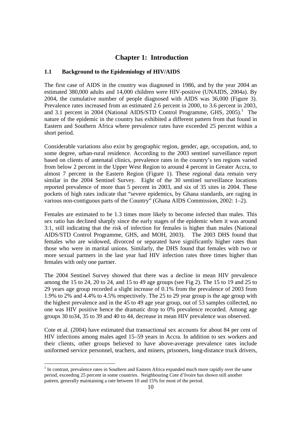# **Chapter 1: Introduction**

# **1.1 Background to the Epidemiology of HIV/AIDS**

The first case of AIDS in the country was diagnosed in 1986, and by the year 2004 an estimated 380,000 adults and 14,000 children were HIV-positive (UNAIDS, 2004a). By 2004, the cumulative number of people diagnosed with AIDS was 36,000 (Figure 3). Prevalence rates increased from an estimated 2.6 percent in 2000, to 3.6 percent in 2003, and 3.1 percent in 2004 (National AIDS/STD Control Programme, GHS,  $2005$ ).<sup>1</sup> The nature of the epidemic in the country has exhibited a different pattern from that found in Eastern and Southern Africa where prevalence rates have exceeded 25 percent within a short period.

Considerable variations also exist by geographic region, gender, age, occupation, and, to some degree, urban-rural residence. According to the 2003 sentinel surveillance report based on clients of antenatal clinics, prevalence rates in the country's ten regions varied from below 2 percent in the Upper West Region to around 4 percent in Greater Accra, to almost 7 percent in the Eastern Region (Figure 1). These regional data remain very similar in the 2004 Sentinel Survey. Eight of the 30 sentinel surveillance locations reported prevalence of more than 5 percent in 2003, and six of 35 sites in 2004. These pockets of high rates indicate that "severe epidemics, by Ghana standards, are raging in various non-contiguous parts of the Country" (Ghana AIDS Commission, 2002: 1–2).

Females are estimated to be 1.3 times more likely to become infected than males. This sex ratio has declined sharply since the early stages of the epidemic when it was around 3:1, still indicating that the risk of infection for females is higher than males (National AIDS/STD Control Programme, GHS, and MOH, 2003). The 2003 DHS found that females who are widowed, divorced or separated have significantly higher rates than those who were in marital unions. Similarly, the DHS found that females with two or more sexual partners in the last year had HIV infection rates three times higher than females with only one partner.

The 2004 Sentinel Survey showed that there was a decline in mean HIV prevalence among the 15 to 24, 20 to 24, and 15 to 49 age groups (see Fig 2). The 15 to 19 and 25 to 29 years age group recorded a slight increase of 0.1% from the prevalence of 2003 from 1.9% to 2% and 4.4% to 4.5% respectively. The 25 to 29 year group is the age group with the highest prevalence and in the 45 to 49 age year group, out of 53 samples collected, no one was HIV positive hence the dramatic drop to 0% prevalence recorded. Among age groups 30 to34, 35 to 39 and 40 to 44, decrease in mean HIV prevalence was observed.

Cote et al. (2004) have estimated that transactional sex accounts for about 84 per cent of HIV infections among males aged 15–59 years in Accra. In addition to sex workers and their clients, other groups believed to have above-average prevalence rates include uniformed service personnel, teachers, and miners, prisoners, long-distance truck drivers,

-

<sup>&</sup>lt;sup>1</sup> In contrast, prevalence rates in Southern and Eastern Africa expanded much more rapidly over the same period, exceeding 25 percent in some countries. Neighbouring Cote d'Ivoire has shown still another pattern, generally maintaining a rate between 10 and 15% for most of the period.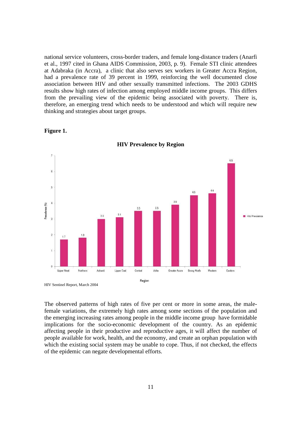national service volunteers, cross-border traders, and female long-distance traders (Anarfi et al., 1997 cited in Ghana AIDS Commission, 2003, p. 9). Female STI clinic attendees at Adabraka (in Accra), a clinic that also serves sex workers in Greater Accra Region, had a prevalence rate of 39 percent in 1999, reinforcing the well documented close association between HIV and other sexually transmitted infections. The 2003 GDHS results show high rates of infection among employed middle income groups. This differs from the prevailing view of the epidemic being associated with poverty. There is, therefore, an emerging trend which needs to be understood and which will require new thinking and strategies about target groups.



**Figure 1.** 

**HIV Prevalence by Region** 

HIV Sentinel Report, March 2004

The observed patterns of high rates of five per cent or more in some areas, the malefemale variations, the extremely high rates among some sections of the population and the emerging increasing rates among people in the middle income group have formidable implications for the socio-economic development of the country. As an epidemic affecting people in their productive and reproductive ages, it will affect the number of people available for work, health, and the economy, and create an orphan population with which the existing social system may be unable to cope. Thus, if not checked, the effects of the epidemic can negate developmental efforts.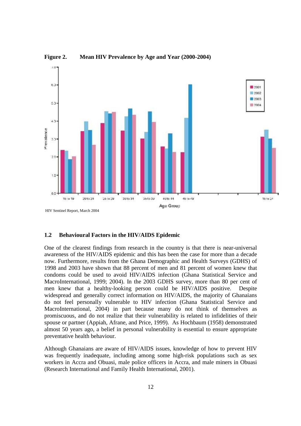

**Figure 2. Mean HIV Prevalence by Age and Year (2000-2004)** 

# **1.2 Behavioural Factors in the HIV/AIDS Epidemic**

One of the clearest findings from research in the country is that there is near-universal awareness of the HIV/AIDS epidemic and this has been the case for more than a decade now. Furthermore, results from the Ghana Demographic and Health Surveys (GDHS) of 1998 and 2003 have shown that 88 percent of men and 81 percent of women knew that condoms could be used to avoid HIV/AIDS infection (Ghana Statistical Service and MacroInternational, 1999; 2004). In the 2003 GDHS survey, more than 80 per cent of men knew that a healthy-looking person could be HIV/AIDS positive. Despite widespread and generally correct information on HIV/AIDS, the majority of Ghanaians do not feel personally vulnerable to HIV infection (Ghana Statistical Service and MacroInternational, 2004) in part because many do not think of themselves as promiscuous, and do not realize that their vulnerability is related to infidelities of their spouse or partner (Appiah, Afrane, and Price, 1999). As Hochbaum (1958) demonstrated almost 50 years ago, a belief in personal vulnerability is essential to ensure appropriate preventative health behaviour.

Although Ghanaians are aware of HIV/AIDS issues, knowledge of how to prevent HIV was frequently inadequate, including among some high-risk populations such as sex workers in Accra and Obuasi, male police officers in Accra, and male miners in Obuasi (Research International and Family Health International, 2001).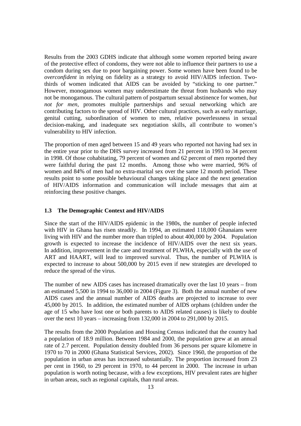Results from the 2003 GDHS indicate that although some women reported being aware of the protective effect of condoms, they were not able to influence their partners to use a condom during sex due to poor bargaining power. Some women have been found to be *overconfident* in relying on fidelity as a strategy to avoid HIV/AIDS infection. Twothirds of women indicated that AIDS can be avoided by "sticking to one partner." However, monogamous women may underestimate the threat from husbands who may not be monogamous. The cultural pattern of postpartum sexual abstinence for women, *but not for men*, promotes multiple partnerships and sexual networking which are contributing factors to the spread of HIV. Other cultural practices, such as early marriage, genital cutting, subordination of women to men, relative powerlessness in sexual decision-making, and inadequate sex negotiation skills, all contribute to women's vulnerability to HIV infection.

The proportion of men aged between 15 and 49 years who reported not having had sex in the entire year prior to the DHS survey increased from 21 percent in 1993 to 34 percent in 1998. Of those cohabitating, 79 percent of women and 62 percent of men reported they were faithful during the past 12 months. Among those who were married, 96% of women and 84% of men had no extra-marital sex over the same 12 month period. These results point to some possible behavioural changes taking place and the next generation of HIV/AIDS information and communication will include messages that aim at reinforcing these positive changes.

#### **1.3 The Demographic Context and HIV/AIDS**

Since the start of the HIV/AIDS epidemic in the 1980s, the number of people infected with HIV in Ghana has risen steadily. In 1994, an estimated 118,000 Ghanaians were living with HIV and the number more than tripled to about 400,000 by 2004. Population growth is expected to increase the incidence of HIV/AIDS over the next six years. In addition, improvement in the care and treatment of PLWHA, especially with the use of ART and HAART, will lead to improved survival. Thus, the number of PLWHA is expected to increase to about 500,000 by 2015 even if new strategies are developed to reduce the spread of the virus.

The number of new AIDS cases has increased dramatically over the last 10 years – from an estimated 5,500 in 1994 to 36,000 in 2004 (Figure 3). Both the annual number of new AIDS cases and the annual number of AIDS deaths are projected to increase to over 45,000 by 2015. In addition, the estimated number of AIDS orphans (children under the age of 15 who have lost one or both parents to AIDS related causes) is likely to double over the next 10 years – increasing from 132,000 in 2004 to 291,000 by 2015.

The results from the 2000 Population and Housing Census indicated that the country had a population of 18.9 million. Between 1984 and 2000, the population grew at an annual rate of 2.7 percent. Population density doubled from 36 persons per square kilometre in 1970 to 70 in 2000 (Ghana Statistical Services, 2002). Since 1960, the proportion of the population in urban areas has increased substantially. The proportion increased from 23 per cent in 1960, to 29 percent in 1970, to 44 percent in 2000. The increase in urban population is worth noting because, with a few exceptions, HIV prevalent rates are higher in urban areas, such as regional capitals, than rural areas.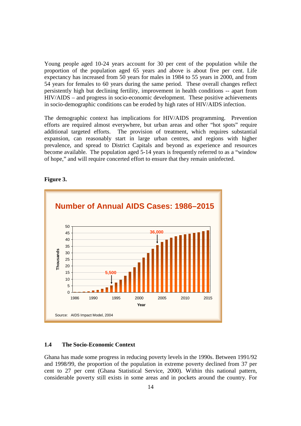Young people aged 10-24 years account for 30 per cent of the population while the proportion of the population aged 65 years and above is about five per cent. Life expectancy has increased from 50 years for males in 1984 to 55 years in 2000, and from 54 years for females to 60 years during the same period. These overall changes reflect persistently high but declining fertility, improvement in health conditions -- apart from HIV/AIDS – and progress in socio-economic development. These positive achievements in socio-demographic conditions can be eroded by high rates of HIV/AIDS infection.

The demographic context has implications for HIV/AIDS programming. Prevention efforts are required almost everywhere, but urban areas and other "hot spots" require additional targeted efforts. The provision of treatment, which requires substantial expansion, can reasonably start in large urban centres, and regions with higher prevalence, and spread to District Capitals and beyond as experience and resources become available. The population aged 5-14 years is frequently referred to as a "window of hope," and will require concerted effort to ensure that they remain uninfected.



#### **Figure 3.**

#### **1.4 The Socio-Economic Context**

Ghana has made some progress in reducing poverty levels in the 1990s. Between 1991/92 and 1998/99, the proportion of the population in extreme poverty declined from 37 per cent to 27 per cent (Ghana Statistical Service, 2000). Within this national pattern, considerable poverty still exists in some areas and in pockets around the country. For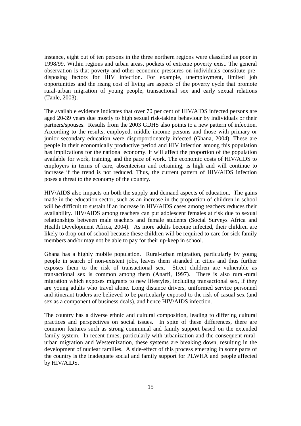instance, eight out of ten persons in the three northern regions were classified as poor in 1998/99. Within regions and urban areas, pockets of extreme poverty exist. The general observation is that poverty and other economic pressures on individuals constitute predisposing factors for HIV infection. For example, unemployment, limited job opportunities and the rising cost of living are aspects of the poverty cycle that promote rural-urban migration of young people, transactional sex and early sexual relations (Tanle, 2003).

The available evidence indicates that over 70 per cent of HIV/AIDS infected persons are aged 20-39 years due mostly to high sexual risk-taking behaviour by individuals or their partners/spouses. Results from the 2003 GDHS also points to a new pattern of infection. According to the results, employed, middle income persons and those with primary or junior secondary education were disproportionately infected (Ghana, 2004). These are people in their economically productive period and HIV infection among this population has implications for the national economy. It will affect the proportion of the population available for work, training, and the pace of work. The economic costs of HIV/AIDS to employers in terms of care, absenteeism and retraining, is high and will continue to increase if the trend is not reduced. Thus, the current pattern of HIV/AIDS infection poses a threat to the economy of the country.

HIV/AIDS also impacts on both the supply and demand aspects of education. The gains made in the education sector, such as an increase in the proportion of children in school will be difficult to sustain if an increase in HIV/AIDS cases among teachers reduces their availability. HIV/AIDS among teachers can put adolescent females at risk due to sexual relationships between male teachers and female students (Social Surveys Africa and Health Development Africa, 2004). As more adults become infected, their children are likely to drop out of school because these children will be required to care for sick family members and/or may not be able to pay for their up-keep in school.

Ghana has a highly mobile population. Rural-urban migration, particularly by young people in search of non-existent jobs, leaves them stranded in cities and thus further exposes them to the risk of transactional sex. Street children are vulnerable as transactional sex is common among them (Anarfi, 1997). There is also rural-rural migration which exposes migrants to new lifestyles, including transactional sex, if they are young adults who travel alone. Long distance drivers, uniformed service personnel and itinerant traders are believed to be particularly exposed to the risk of casual sex (and sex as a component of business deals), and hence HIV/AIDS infection.

The country has a diverse ethnic and cultural composition, leading to differing cultural practices and perspectives on social issues. In spite of these differences, there are common features such as strong communal and family support based on the extended family system. In recent times, particularly with urbanization and the consequent ruralurban migration and Westernization, these systems are breaking down, resulting in the development of nuclear families. A side-effect of this process emerging in some parts of the country is the inadequate social and family support for PLWHA and people affected by HIV/AIDS.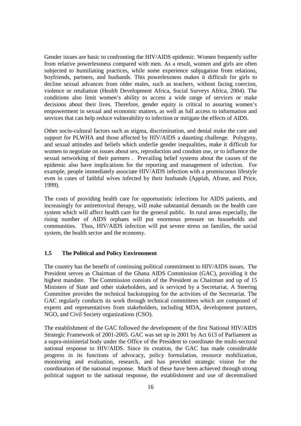Gender issues are basic to confronting the HIV/AIDS epidemic. Women frequently suffer from relative powerlessness compared with men. As a result, women and girls are often subjected to humiliating practices, while some experience subjugation from relations, boyfriends, partners, and husbands. This powerlessness makes it difficult for girls to decline sexual advances from older males, such as teachers, without facing coercion, violence or retaliation (Health Development Africa, Social Surveys Africa, 2004). The conditions also limit women's ability to access a wide range of services or make decisions about their lives. Therefore, gender equity is critical to assuring women's empowerment in sexual and economic matters, as well as full access to information and services that can help reduce vulnerability to infection or mitigate the effects of AIDS.

Other socio-cultural factors such as stigma, discrimination, and denial make the care and support for PLWHA and those affected by HIV/AIDS a daunting challenge. Polygyny, and sexual attitudes and beliefs which underlie gender inequalities, make it difficult for women to negotiate on issues about sex, reproduction and condom use, or to influence the sexual networking of their partners . Prevailing belief systems about the causes of the epidemic also have implications for the reporting and management of infection. For example, people immediately associate HIV/AIDS infection with a promiscuous lifestyle even in cases of faithful wives infected by their husbands (Appiah, Afrane, and Price, 1999).

The costs of providing health care for opportunistic infections for AIDS patients, and increasingly for antiretroviral therapy, will make substantial demands on the health care system which will affect health care for the general public. In rural areas especially, the rising number of AIDS orphans will put enormous pressure on households and communities. Thus, HIV/AIDS infection will put severe stress on families, the social system, the health sector and the economy.

#### **1.5 The Political and Policy Environment**

The country has the benefit of continuing political commitment to HIV/AIDS issues. The President serves as Chairman of the Ghana AIDS Commission (GAC), providing it the highest mandate. The Commission consists of the President as Chairman and up of 15 Ministers of State and other stakeholders, and is serviced by a Secretariat. A Steering Committee provides the technical backstopping for the activities of the Secretariat. The GAC regularly conducts its work through technical committees which are composed of experts and representatives from stakeholders, including MDA, development partners, NGO, and Civil Society organizations (CSO).

The establishment of the GAC followed the development of the first National HIV/AIDS Strategic Framework of 2001-2005. GAC was set up in 2001 by Act 613 of Parliament as a supra-ministerial body under the Office of the President to coordinate the multi-sectoral national response to HIV/AIDS. Since its creation, the GAC has made considerable progress in its functions of advocacy, policy formulation, resource mobilization, monitoring and evaluation, research, and has provided strategic vision for the coordination of the national response. Much of these have been achieved through strong political support to the national response, the establishment and use of decentralised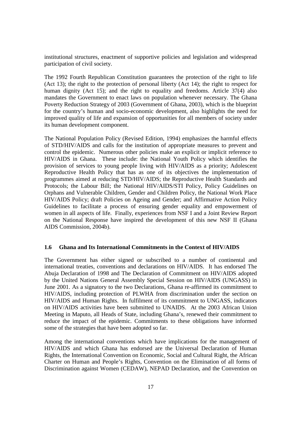institutional structures, enactment of supportive policies and legislation and widespread participation of civil society.

The 1992 Fourth Republican Constitution guarantees the protection of the right to life (Act 13); the right to the protection of personal liberty (Act 14); the right to respect for human dignity (Act 15); and the right to equality and freedoms. Article 37(4) also mandates the Government to enact laws on population whenever necessary. The Ghana Poverty Reduction Strategy of 2003 (Government of Ghana, 2003), which is the blueprint for the country's human and socio-economic development, also highlights the need for improved quality of life and expansion of opportunities for all members of society under its human development component.

The National Population Policy (Revised Edition, 1994) emphasizes the harmful effects of STD/HIV/AIDS and calls for the institution of appropriate measures to prevent and control the epidemic. Numerous other policies make an explicit or implicit reference to HIV/AIDS in Ghana. These include: the National Youth Policy which identifies the provision of services to young people living with HIV/AIDS as a priority; Adolescent Reproductive Health Policy that has as one of its objectives the implementation of programmes aimed at reducing STD/HIV/AIDS; the Reproductive Health Standards and Protocols; the Labour Bill; the National HIV/AIDS/STI Policy, Policy Guidelines on Orphans and Vulnerable Children, Gender and Children Policy, the National Work Place HIV/AIDS Policy; draft Policies on Ageing and Gender; and Affirmative Action Policy Guidelines to facilitate a process of ensuring gender equality and empowerment of women in all aspects of life. Finally, experiences from NSF I and a Joint Review Report on the National Response have inspired the development of this new NSF II (Ghana AIDS Commission, 2004b).

#### **1.6 Ghana and Its International Commitments in the Context of HIV/AIDS**

The Government has either signed or subscribed to a number of continental and international treaties, conventions and declarations on HIV/AIDS. It has endorsed The Abuja Declaration of 1998 and The Declaration of Commitment on HIV/AIDS adopted by the United Nations General Assembly Special Session on HIV/AIDS (UNGASS) in June 2001. As a signatory to the two Declarations, Ghana re-affirmed its commitment to HIV/AIDS, including protection of PLWHA from discrimination under the section on HIV/AIDS and Human Rights. In fulfilment of its commitment to UNGASS, indicators on HIV/AIDS activities have been submitted to UNAIDS. At the 2003 African Union Meeting in Maputo, all Heads of State, including Ghana's, renewed their commitment to reduce the impact of the epidemic. Commitments to these obligations have informed some of the strategies that have been adopted so far.

Among the international conventions which have implications for the management of HIV/AIDS and which Ghana has endorsed are the Universal Declaration of Human Rights, the International Convention on Economic, Social and Cultural Right, the African Charter on Human and People's Rights, Convention on the Elimination of all forms of Discrimination against Women (CEDAW), NEPAD Declaration, and the Convention on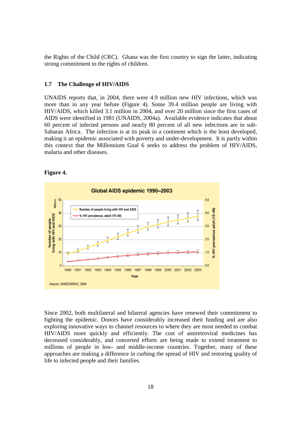the Rights of the Child (CRC). Ghana was the first country to sign the latter, indicating strong commitment to the rights of children.

#### **1.7 The Challenge of HIV/AIDS**

UNAIDS reports that, in 2004, there were 4.9 million new HIV infections, which was more than in any year before (Figure 4). Some 39.4 million people are living with HIV/AIDS, which killed 3.1 million in 2004, and over 20 million since the first cases of AIDS were identified in 1981 (UNAIDS, 2004a). Available evidence indicates that about 60 percent of infected persons and nearly 80 percent of all new infections are in sub-Saharan Africa. The infection is at its peak in a continent which is the least developed, making it an epidemic associated with poverty and under-development. It is partly within this context that the Millennium Goal 6 seeks to address the problem of HIV/AIDS, malaria and other diseases.

#### **Figure 4.**



Since 2002, both multilateral and bilateral agencies have renewed their commitment to fighting the epidemic. Donors have considerably increased their funding and are also exploring innovative ways to channel resources to where they are most needed to combat HIV/AIDS more quickly and efficiently. The cost of antiretroviral medicines has decreased considerably, and concerted efforts are being made to extend treatment to millions of people in low- and middle-income countries. Together, many of these approaches are making a difference in curbing the spread of HIV and restoring quality of life to infected people and their families.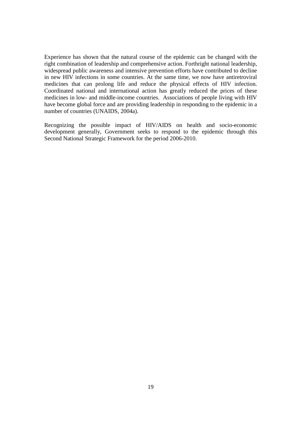Experience has shown that the natural course of the epidemic can be changed with the right combination of leadership and comprehensive action. Forthright national leadership, widespread public awareness and intensive prevention efforts have contributed to decline in new HIV infections in some countries. At the same time, we now have antiretroviral medicines that can prolong life and reduce the physical effects of HIV infection. Coordinated national and international action has greatly reduced the prices of these medicines in low- and middle-income countries. Associations of people living with HIV have become global force and are providing leadership in responding to the epidemic in a number of countries (UNAIDS, 2004a).

Recognizing the possible impact of HIV/AIDS on health and socio-economic development generally, Government seeks to respond to the epidemic through this Second National Strategic Framework for the period 2006-2010.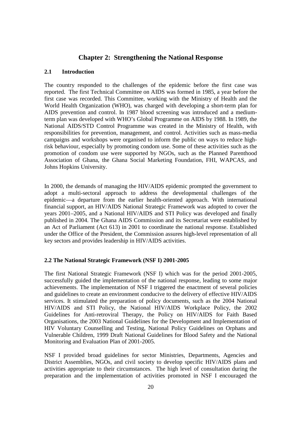# **Chapter 2: Strengthening the National Response**

# **2.1 Introduction**

The country responded to the challenges of the epidemic before the first case was reported. The first Technical Committee on AIDS was formed in 1985, a year before the first case was recorded. This Committee, working with the Ministry of Health and the World Health Organization (WHO), was charged with developing a short-term plan for AIDS prevention and control. In 1987 blood screening was introduced and a mediumterm plan was developed with WHO's Global Programme on AIDS by 1988. In 1989, the National AIDS/STD Control Programme was created in the Ministry of Health, with responsibilities for prevention, management, and control. Activities such as mass-media campaigns and workshops were organised to inform the public on ways to reduce highrisk behaviour, especially by promoting condom use. Some of these activities such as the promotion of condom use were supported by NGOs, such as the Planned Parenthood Association of Ghana, the Ghana Social Marketing Foundation, FHI, WAPCAS, and Johns Hopkins University.

In 2000, the demands of managing the HIV/AIDS epidemic prompted the government to adopt a multi-sectoral approach to address the developmental challenges of the epidemic—a departure from the earlier health-oriented approach. With international financial support, an HIV/AIDS National Strategic Framework was adopted to cover the years 2001–2005, and a National HIV/AIDS and STI Policy was developed and finally published in 2004. The Ghana AIDS Commission and its Secretariat were established by an Act of Parliament (Act 613) in 2001 to coordinate the national response. Established under the Office of the President, the Commission assures high-level representation of all key sectors and provides leadership in HIV/AIDS activities.

# **2.2 The National Strategic Framework (NSF I) 2001-2005**

The first National Strategic Framework (NSF I) which was for the period 2001-2005, successfully guided the implementation of the national response, leading to some major achievements. The implementation of NSF I triggered the enactment of several policies and guidelines to create an environment conducive to the delivery of effective HIV/AIDS services. It stimulated the preparation of policy documents, such as the 2004 National HIV/AIDS and STI Policy, the National HIV/AIDS Workplace Policy, the 2002 Guidelines for Anti-retroviral Therapy, the Policy on HIV/AIDS for Faith Based Organisations, the 2003 National Guidelines for the Development and Implementation of HIV Voluntary Counselling and Testing, National Policy Guidelines on Orphans and Vulnerable Children, 1999 Draft National Guidelines for Blood Safety and the National Monitoring and Evaluation Plan of 2001-2005.

NSF I provided broad guidelines for sector Ministries, Departments, Agencies and District Assemblies, NGOs, and civil society to develop specific HIV/AIDS plans and activities appropriate to their circumstances. The high level of consultation during the preparation and the implementation of activities promoted in NSF I encouraged the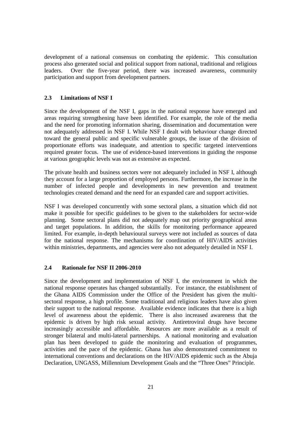development of a national consensus on combating the epidemic. This consultation process also generated social and political support from national, traditional and religious leaders. Over the five-year period, there was increased awareness, community participation and support from development partners.

# **2.3 Limitations of NSF I**

Since the development of the NSF I, gaps in the national response have emerged and areas requiring strengthening have been identified. For example, the role of the media and the need for promoting information sharing, dissemination and documentation were not adequately addressed in NSF I. While NSF I dealt with behaviour change directed toward the general public and specific vulnerable groups, the issue of the division of proportionate efforts was inadequate, and attention to specific targeted interventions required greater focus. The use of evidence-based interventions in guiding the response at various geographic levels was not as extensive as expected.

The private health and business sectors were not adequately included in NSF I, although they account for a large proportion of employed persons. Furthermore, the increase in the number of infected people and developments in new prevention and treatment technologies created demand and the need for an expanded care and support activities.

NSF I was developed concurrently with some sectoral plans, a situation which did not make it possible for specific guidelines to be given to the stakeholders for sector-wide planning. Some sectoral plans did not adequately map out priority geographical areas and target populations. In addition, the skills for monitoring performance appeared limited. For example, in-depth behavioural surveys were not included as sources of data for the national response. The mechanisms for coordination of HIV/AIDS activities within ministries, departments, and agencies were also not adequately detailed in NSF I.

# **2.4 Rationale for NSF II 2006-2010**

Since the development and implementation of NSF I, the environment in which the national response operates has changed substantially. For instance, the establishment of the Ghana AIDS Commission under the Office of the President has given the multisectoral response, a high profile. Some traditional and religious leaders have also given their support to the national response. Available evidence indicates that there is a high level of awareness about the epidemic. There is also increased awareness that the epidemic is driven by high risk sexual activity. Antiretroviral drugs have become increasingly accessible and affordable. Resources are more available as a result of stronger bilateral and multi-lateral partnerships. A national monitoring and evaluation plan has been developed to guide the monitoring and evaluation of programmes, activities and the pace of the epidemic. Ghana has also demonstrated commitment to international conventions and declarations on the HIV/AIDS epidemic such as the Abuja Declaration, UNGASS, Millennium Development Goals and the "Three Ones" Principle.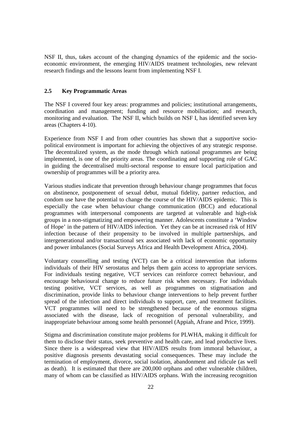NSF II, thus, takes account of the changing dynamics of the epidemic and the socioeconomic environment, the emerging HIV/AIDS treatment technologies, new relevant research findings and the lessons learnt from implementing NSF I.

### **2.5 Key Programmatic Areas**

The NSF I covered four key areas: programmes and policies; institutional arrangements, coordination and management; funding and resource mobilisation; and research, monitoring and evaluation. The NSF II, which builds on NSF I, has identified seven key areas (Chapters 4-10).

Experience from NSF I and from other countries has shown that a supportive sociopolitical environment is important for achieving the objectives of any strategic response. The decentralized system, as the mode through which national programmes are being implemented, is one of the priority areas. The coordinating and supporting role of GAC in guiding the decentralised multi-sectoral response to ensure local participation and ownership of programmes will be a priority area.

Various studies indicate that prevention through behaviour change programmes that focus on abstinence, postponement of sexual debut, mutual fidelity, partner reduction, and condom use have the potential to change the course of the HIV/AIDS epidemic. This is especially the case when behaviour change communication (BCC) and educational programmes with interpersonal components are targeted at vulnerable and high-risk groups in a non-stigmatizing and empowering manner. Adolescents constitute a 'Window of Hope' in the pattern of HIV/AIDS infection. Yet they can be at increased risk of HIV infection because of their propensity to be involved in multiple partnerships, and intergenerational and/or transactional sex associated with lack of economic opportunity and power imbalances (Social Surveys Africa and Health Development Africa, 2004).

Voluntary counselling and testing (VCT) can be a critical intervention that informs individuals of their HIV serostatus and helps them gain access to appropriate services. For individuals testing negative, VCT services can reinforce correct behaviour, and encourage behavioural change to reduce future risk when necessary. For individuals testing positive, VCT services, as well as programmes on stigmatisation and discrimination, provide links to behaviour change interventions to help prevent further spread of the infection and direct individuals to support, care, and treatment facilities. VCT programmes will need to be strengthened because of the enormous stigma associated with the disease, lack of recognition of personal vulnerability, and inappropriate behaviour among some health personnel (Appiah, Afrane and Price, 1999).

Stigma and discrimination constitute major problems for PLWHA, making it difficult for them to disclose their status, seek preventive and health care, and lead productive lives. Since there is a widespread view that HIV/AIDS results from immoral behaviour, a positive diagnosis presents devastating social consequences. These may include the termination of employment, divorce, social isolation, abandonment and ridicule (as well as death). It is estimated that there are 200,000 orphans and other vulnerable children, many of whom can be classified as HIV/AIDS orphans. With the increasing recognition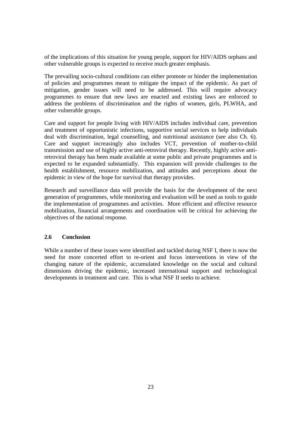of the implications of this situation for young people, support for HIV/AIDS orphans and other vulnerable groups is expected to receive much greater emphasis.

The prevailing socio-cultural conditions can either promote or hinder the implementation of policies and programmes meant to mitigate the impact of the epidemic. As part of mitigation, gender issues will need to be addressed. This will require advocacy programmes to ensure that new laws are enacted and existing laws are enforced to address the problems of discrimination and the rights of women, girls, PLWHA, and other vulnerable groups.

Care and support for people living with HIV/AIDS includes individual care, prevention and treatment of opportunistic infections, supportive social services to help individuals deal with discrimination, legal counselling, and nutritional assistance (see also Ch. 6). Care and support increasingly also includes VCT, prevention of mother-to-child transmission and use of highly active anti-retroviral therapy. Recently, highly active antiretroviral therapy has been made available at some public and private programmes and is expected to be expanded substantially. This expansion will provide challenges to the health establishment, resource mobilization, and attitudes and perceptions about the epidemic in view of the hope for survival that therapy provides.

Research and surveillance data will provide the basis for the development of the next generation of programmes, while monitoring and evaluation will be used as tools to guide the implementation of programmes and activities. More efficient and effective resource mobilization, financial arrangements and coordination will be critical for achieving the objectives of the national response.

# **2.6 Conclusion**

While a number of these issues were identified and tackled during NSF I, there is now the need for more concerted effort to re-orient and focus interventions in view of the changing nature of the epidemic, accumulated knowledge on the social and cultural dimensions driving the epidemic, increased international support and technological developments in treatment and care. This is what NSF II seeks to achieve.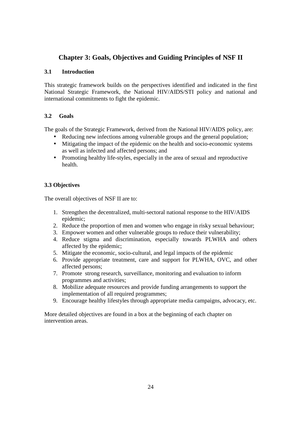# **Chapter 3: Goals, Objectives and Guiding Principles of NSF II**

# **3.1 Introduction**

This strategic framework builds on the perspectives identified and indicated in the first National Strategic Framework, the National HIV/AIDS/STI policy and national and international commitments to fight the epidemic.

# **3.2 Goals**

The goals of the Strategic Framework, derived from the National HIV/AIDS policy, are:

- Reducing new infections among vulnerable groups and the general population;
- Mitigating the impact of the epidemic on the health and socio-economic systems as well as infected and affected persons; and
- Promoting healthy life-styles, especially in the area of sexual and reproductive health.

# **3.3 Objectives**

The overall objectives of NSF II are to:

- 1. Strengthen the decentralized, multi-sectoral national response to the HIV/AIDS epidemic;
- 2. Reduce the proportion of men and women who engage in risky sexual behaviour;
- 3. Empower women and other vulnerable groups to reduce their vulnerability;
- 4. Reduce stigma and discrimination, especially towards PLWHA and others affected by the epidemic;
- 5. Mitigate the economic, socio-cultural, and legal impacts of the epidemic
- 6. Provide appropriate treatment, care and support for PLWHA, OVC, and other affected persons;
- 7. Promote strong research, surveillance, monitoring and evaluation to inform programmes and activities;
- 8. Mobilize adequate resources and provide funding arrangements to support the implementation of all required programmes;
- 9. Encourage healthy lifestyles through appropriate media campaigns, advocacy, etc.

More detailed objectives are found in a box at the beginning of each chapter on intervention areas.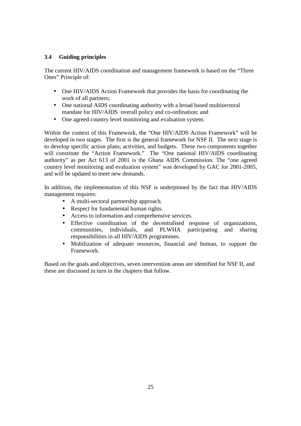# **3.4 Guiding principles**

The current HIV/AIDS coordination and management framework is based on the "Three Ones" Principle of:

- One HIV/AIDS Action Framework that provides the basis for coordinating the work of all partners;
- One national AIDS coordinating authority with a broad based multisectoral mandate for HIV/AIDS overall policy and co-ordination; and
- One agreed country level monitoring and evaluation system.

Within the context of this Framework, the "One HIV/AIDS Action Framework" will be developed in two stages. The first is the general framework for NSF II. The next stage is to develop specific action plans, activities, and budgets. These two components together will constitute the "Action Framework." The "One national HIV/AIDS coordinating authority" as per Act 613 of 2001 is the Ghana AIDS Commission. The "one agreed country level monitoring and evaluation system" was developed by GAC for 2001-2005, and will be updated to meet new demands.

In addition, the implementation of this NSF is underpinned by the fact that HIV/AIDS management requires:

- A multi-sectoral partnership approach.
- Respect for fundamental human rights.
- Access to information and comprehensive services.
- Effective coordination of the decentralised response of organizations, communities, individuals, and PLWHA participating and sharing responsibilities in all HIV/AIDS programmes.
- Mobilization of adequate resources, financial and human, to support the Framework.

Based on the goals and objectives, seven intervention areas are identified for NSF II, and these are discussed in turn in the chapters that follow.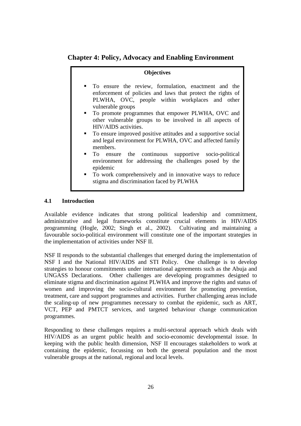# **Chapter 4: Policy, Advocacy and Enabling Environment**

#### **Objectives**

- To ensure the review, formulation, enactment and the enforcement of policies and laws that protect the rights of PLWHA, OVC, people within workplaces and other vulnerable groups
- To promote programmes that empower PLWHA, OVC and other vulnerable groups to be involved in all aspects of HIV/AIDS activities.
- To ensure improved positive attitudes and a supportive social and legal environment for PLWHA, OVC and affected family members.
- To ensure the continuous supportive socio-political environment for addressing the challenges posed by the epidemic
- To work comprehensively and in innovative ways to reduce stigma and discrimination faced by PLWHA

# **4.1 Introduction**

Available evidence indicates that strong political leadership and commitment, administrative and legal frameworks constitute crucial elements in HIV/AIDS programming (Hogle, 2002; Singh et al., 2002). Cultivating and maintaining a favourable socio-political environment will constitute one of the important strategies in the implementation of activities under NSF II.

NSF II responds to the substantial challenges that emerged during the implementation of NSF I and the National HIV/AIDS and STI Policy. One challenge is to develop strategies to honour commitments under international agreements such as the Abuja and UNGASS Declarations. Other challenges are developing programmes designed to eliminate stigma and discrimination against PLWHA and improve the rights and status of women and improving the socio-cultural environment for promoting prevention, treatment, care and support programmes and activities. Further challenging areas include the scaling-up of new programmes necessary to combat the epidemic, such as ART, VCT, PEP and PMTCT services, and targeted behaviour change communication programmes.

Responding to these challenges requires a multi-sectoral approach which deals with HIV/AIDS as an urgent public health and socio-economic developmental issue. In keeping with the public health dimension, NSF II encourages stakeholders to work at containing the epidemic, focussing on both the general population and the most vulnerable groups at the national, regional and local levels.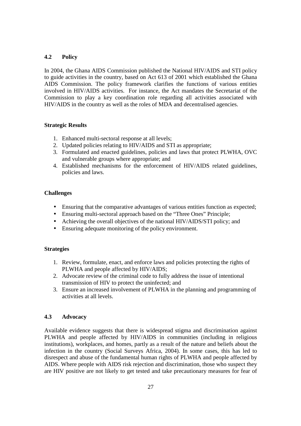# **4.2 Policy**

In 2004, the Ghana AIDS Commission published the National HIV/AIDS and STI policy to guide activities in the country, based on Act 613 of 2001 which established the Ghana AIDS Commission. The policy framework clarifies the functions of various entities involved in HIV/AIDS activities. For instance, the Act mandates the Secretariat of the Commission to play a key coordination role regarding all activities associated with HIV/AIDS in the country as well as the roles of MDA and decentralised agencies.

# **Strategic Results**

- 1. Enhanced multi-sectoral response at all levels;
- 2. Updated policies relating to HIV/AIDS and STI as appropriate;
- 3. Formulated and enacted guidelines, policies and laws that protect PLWHA, OVC and vulnerable groups where appropriate; and
- 4. Established mechanisms for the enforcement of HIV/AIDS related guidelines, policies and laws.

# **Challenges**

- Ensuring that the comparative advantages of various entities function as expected;
- Ensuring multi-sectoral approach based on the "Three Ones" Principle;
- Achieving the overall objectives of the national HIV/AIDS/STI policy; and
- Ensuring adequate monitoring of the policy environment.

# **Strategies**

- 1. Review, formulate, enact, and enforce laws and policies protecting the rights of PLWHA and people affected by HIV/AIDS;
- 2. Advocate review of the criminal code to fully address the issue of intentional transmission of HIV to protect the uninfected; and
- 3. Ensure an increased involvement of PLWHA in the planning and programming of activities at all levels.

# **4.3 Advocacy**

Available evidence suggests that there is widespread stigma and discrimination against PLWHA and people affected by HIV/AIDS in communities (including in religious institutions), workplaces, and homes, partly as a result of the nature and beliefs about the infection in the country (Social Surveys Africa, 2004). In some cases, this has led to disrespect and abuse of the fundamental human rights of PLWHA and people affected by AIDS. Where people with AIDS risk rejection and discrimination, those who suspect they are HIV positive are not likely to get tested and take precautionary measures for fear of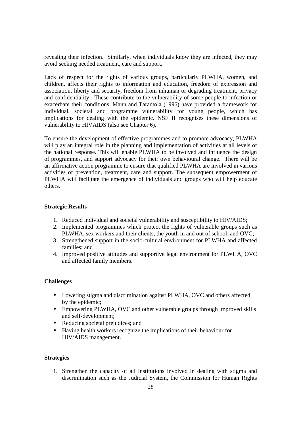revealing their infection. Similarly, when individuals know they are infected, they may avoid seeking needed treatment, care and support.

Lack of respect for the rights of various groups, particularly PLWHA, women, and children, affects their rights to information and education, freedom of expression and association, liberty and security, freedom from inhuman or degrading treatment, privacy and confidentiality. These contribute to the vulnerability of some people to infection or exacerbate their conditions. Mann and Tarantola (1996) have provided a framework for individual, societal and programme vulnerability for young people, which has implications for dealing with the epidemic. NSF II recognises these dimensions of vulnerability to HIVAIDS (also see Chapter 6).

To ensure the development of effective programmes and to promote advocacy, PLWHA will play an integral role in the planning and implementation of activities at all levels of the national response. This will enable PLWHA to be involved and influence the design of programmes, and support advocacy for their own behavioural change. There will be an affirmative action programme to ensure that qualified PLWHA are involved in various activities of prevention, treatment, care and support. The subsequent empowerment of PLWHA will facilitate the emergence of individuals and groups who will help educate others.

#### **Strategic Results**

- 1. Reduced individual and societal vulnerability and susceptibility to HIV/AIDS;
- 2. Implemented programmes which protect the rights of vulnerable groups such as PLWHA, sex workers and their clients, the youth in and out of school, and OVC;
- 3. Strengthened support in the socio-cultural environment for PLWHA and affected families; and
- 4. Improved positive attitudes and supportive legal environment for PLWHA, OVC and affected family members.

#### **Challenges**

- Lowering stigma and discrimination against PLWHA, OVC and others affected by the epidemic;
- Empowering PLWHA, OVC and other vulnerable groups through improved skills and self-development;
- Reducing societal prejudices; and
- Having health workers recognize the implications of their behaviour for HIV/AIDS management.

#### **Strategies**

1. Strengthen the capacity of all institutions involved in dealing with stigma and discrimination such as the Judicial System, the Commission for Human Rights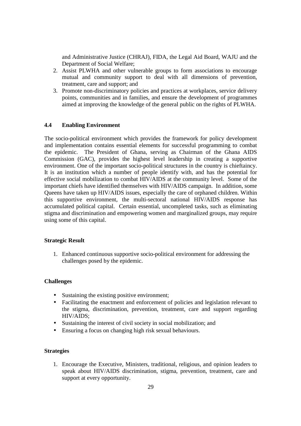and Administrative Justice (CHRAJ), FIDA, the Legal Aid Board, WAJU and the Department of Social Welfare;

- 2. Assist PLWHA and other vulnerable groups to form associations to encourage mutual and community support to deal with all dimensions of prevention, treatment, care and support; and
- 3. Promote non-discriminatory policies and practices at workplaces, service delivery points, communities and in families, and ensure the development of programmes aimed at improving the knowledge of the general public on the rights of PLWHA.

### **4.4 Enabling Environment**

The socio-political environment which provides the framework for policy development and implementation contains essential elements for successful programming to combat the epidemic. The President of Ghana, serving as Chairman of the Ghana AIDS Commission (GAC), provides the highest level leadership in creating a supportive environment. One of the important socio-political structures in the country is chieftaincy. It is an institution which a number of people identify with, and has the potential for effective social mobilization to combat HIV/AIDS at the community level. Some of the important chiefs have identified themselves with HIV/AIDS campaign. In addition, some Queens have taken up HIV/AIDS issues, especially the care of orphaned children. Within this supportive environment, the multi-sectoral national HIV/AIDS response has accumulated political capital. Certain essential, uncompleted tasks, such as eliminating stigma and discrimination and empowering women and marginalized groups, may require using some of this capital.

#### **Strategic Result**

1. Enhanced continuous supportive socio-political environment for addressing the challenges posed by the epidemic.

#### **Challenges**

- Sustaining the existing positive environment;
- Facilitating the enactment and enforcement of policies and legislation relevant to the stigma, discrimination, prevention, treatment, care and support regarding HIV/AIDS;
- Sustaining the interest of civil society in social mobilization; and
- Ensuring a focus on changing high risk sexual behaviours.

#### **Strategies**

1. Encourage the Executive, Ministers, traditional, religious, and opinion leaders to speak about HIV/AIDS discrimination, stigma, prevention, treatment, care and support at every opportunity.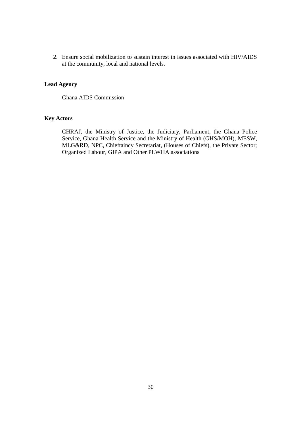2. Ensure social mobilization to sustain interest in issues associated with HIV/AIDS at the community, local and national levels.

# **Lead Agency**

Ghana AIDS Commission

# **Key Actors**

CHRAJ, the Ministry of Justice, the Judiciary, Parliament, the Ghana Police Service, Ghana Health Service and the Ministry of Health (GHS/MOH), MESW, MLG&RD, NPC, Chieftaincy Secretariat, (Houses of Chiefs), the Private Sector; Organized Labour, GIPA and Other PLWHA associations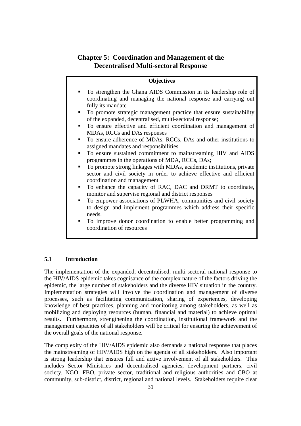# **Chapter 5: Coordination and Management of the Decentralised Multi-sectoral Response**

# **Objectives**

- To strengthen the Ghana AIDS Commission in its leadership role of coordinating and managing the national response and carrying out fully its mandate
- To promote strategic management practice that ensure sustainability of the expanded, decentralised, multi-sectoral response;
- To ensure effective and efficient coordination and management of MDAs, RCCs and DAs responses
- To ensure adherence of MDAs, RCCs, DAs and other institutions to assigned mandates and responsibilities
- To ensure sustained commitment to mainstreaming HIV and AIDS programmes in the operations of MDA, RCCs, DAs;
- To promote strong linkages with MDAs, academic institutions, private sector and civil society in order to achieve effective and efficient coordination and management
- To enhance the capacity of RAC, DAC and DRMT to coordinate, monitor and supervise regional and district responses
- To empower associations of PLWHA, communities and civil society to design and implement programmes which address their specific needs.
- To improve donor coordination to enable better programming and coordination of resources

#### **5.1 Introduction**

The implementation of the expanded, decentralised, multi-sectoral national response to the HIV/AIDS epidemic takes cognisance of the complex nature of the factors driving the epidemic, the large number of stakeholders and the diverse HIV situation in the country. Implementation strategies will involve the coordination and management of diverse processes, such as facilitating communication, sharing of experiences, developing knowledge of best practices, planning and monitoring among stakeholders, as well as mobilizing and deploying resources (human, financial and material) to achieve optimal results. Furthermore, strengthening the coordination, institutional framework and the management capacities of all stakeholders will be critical for ensuring the achievement of the overall goals of the national response.

The complexity of the HIV/AIDS epidemic also demands a national response that places the mainstreaming of HIV/AIDS high on the agenda of all stakeholders. Also important is strong leadership that ensures full and active involvement of all stakeholders. This includes Sector Ministries and decentralised agencies, development partners, civil society, NGO, FBO, private sector, traditional and religious authorities and CBO at community, sub-district, district, regional and national levels. Stakeholders require clear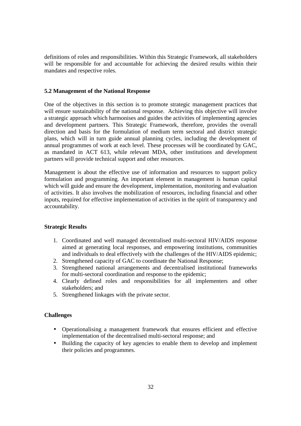definitions of roles and responsibilities. Within this Strategic Framework, all stakeholders will be responsible for and accountable for achieving the desired results within their mandates and respective roles.

#### **5.2 Management of the National Response**

One of the objectives in this section is to promote strategic management practices that will ensure sustainability of the national response. Achieving this objective will involve a strategic approach which harmonises and guides the activities of implementing agencies and development partners. This Strategic Framework, therefore, provides the overall direction and basis for the formulation of medium term sectoral and district strategic plans, which will in turn guide annual planning cycles, including the development of annual programmes of work at each level. These processes will be coordinated by GAC, as mandated in ACT 613, while relevant MDA, other institutions and development partners will provide technical support and other resources.

Management is about the effective use of information and resources to support policy formulation and programming. An important element in management is human capital which will guide and ensure the development, implementation, monitoring and evaluation of activities. It also involves the mobilization of resources, including financial and other inputs, required for effective implementation of activities in the spirit of transparency and accountability.

#### **Strategic Results**

- 1. Coordinated and well managed decentralised multi-sectoral HIV/AIDS response aimed at generating local responses, and empowering institutions, communities and individuals to deal effectively with the challenges of the HIV/AIDS epidemic;
- 2. Strengthened capacity of GAC to coordinate the National Response;
- 3. Strengthened national arrangements and decentralised institutional frameworks for multi-sectoral coordination and response to the epidemic;
- 4. Clearly defined roles and responsibilities for all implementers and other stakeholders; and
- 5. Strengthened linkages with the private sector.

#### **Challenges**

- Operationalising a management framework that ensures efficient and effective implementation of the decentralised multi-sectoral response; and
- Building the capacity of key agencies to enable them to develop and implement their policies and programmes.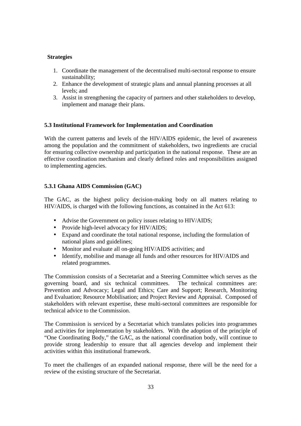### **Strategies**

- 1. Coordinate the management of the decentralised multi-sectoral response to ensure sustainability;
- 2. Enhance the development of strategic plans and annual planning processes at all levels; and
- 3. Assist in strengthening the capacity of partners and other stakeholders to develop, implement and manage their plans.

### **5.3 Institutional Framework for Implementation and Coordination**

With the current patterns and levels of the HIV/AIDS epidemic, the level of awareness among the population and the commitment of stakeholders, two ingredients are crucial for ensuring collective ownership and participation in the national response. These are an effective coordination mechanism and clearly defined roles and responsibilities assigned to implementing agencies.

# **5.3.1 Ghana AIDS Commission (GAC)**

The GAC, as the highest policy decision-making body on all matters relating to HIV/AIDS, is charged with the following functions, as contained in the Act 613:

- Advise the Government on policy issues relating to HIV/AIDS;
- Provide high-level advocacy for HIV/AIDS;
- Expand and coordinate the total national response, including the formulation of national plans and guidelines;
- Monitor and evaluate all on-going HIV/AIDS activities; and
- Identify, mobilise and manage all funds and other resources for HIV/AIDS and related programmes.

The Commission consists of a Secretariat and a Steering Committee which serves as the governing board, and six technical committees. The technical committees are: Prevention and Advocacy; Legal and Ethics; Care and Support; Research, Monitoring and Evaluation; Resource Mobilisation; and Project Review and Appraisal. Composed of stakeholders with relevant expertise, these multi-sectoral committees are responsible for technical advice to the Commission.

The Commission is serviced by a Secretariat which translates policies into programmes and activities for implementation by stakeholders. With the adoption of the principle of "One Coordinating Body," the GAC, as the national coordination body, will continue to provide strong leadership to ensure that all agencies develop and implement their activities within this institutional framework.

To meet the challenges of an expanded national response, there will be the need for a review of the existing structure of the Secretariat.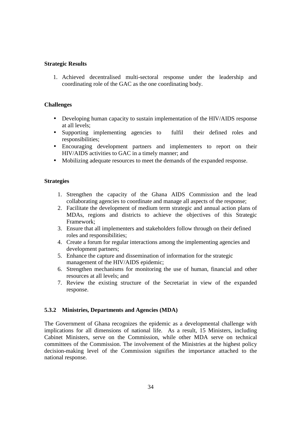#### **Strategic Results**

1. Achieved decentralised multi-sectoral response under the leadership and coordinating role of the GAC as the one coordinating body.

### **Challenges**

- Developing human capacity to sustain implementation of the HIV/AIDS response at all levels;
- Supporting implementing agencies to fulfil their defined roles and responsibilities;
- Encouraging development partners and implementers to report on their HIV/AIDS activities to GAC in a timely manner; and
- Mobilizing adequate resources to meet the demands of the expanded response.

#### **Strategies**

- 1. Strengthen the capacity of the Ghana AIDS Commission and the lead collaborating agencies to coordinate and manage all aspects of the response;
- 2. Facilitate the development of medium term strategic and annual action plans of MDAs, regions and districts to achieve the objectives of this Strategic Framework;
- 3. Ensure that all implementers and stakeholders follow through on their defined roles and responsibilities;
- 4. Create a forum for regular interactions among the implementing agencies and development partners;
- 5. Enhance the capture and dissemination of information for the strategic management of the HIV/AIDS epidemic;
- 6. Strengthen mechanisms for monitoring the use of human, financial and other resources at all levels; and
- 7. Review the existing structure of the Secretariat in view of the expanded response.

# **5.3.2 Ministries, Departments and Agencies (MDA)**

The Government of Ghana recognizes the epidemic as a developmental challenge with implications for all dimensions of national life. As a result, 15 Ministers, including Cabinet Ministers, serve on the Commission, while other MDA serve on technical committees of the Commission. The involvement of the Ministries at the highest policy decision-making level of the Commission signifies the importance attached to the national response.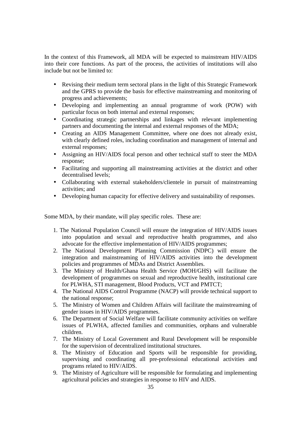In the context of this Framework, all MDA will be expected to mainstream HIV/AIDS into their core functions. As part of the process, the activities of institutions will also include but not be limited to:

- Revising their medium term sectoral plans in the light of this Strategic Framework and the GPRS to provide the basis for effective mainstreaming and monitoring of progress and achievements;
- Developing and implementing an annual programme of work (POW) with particular focus on both internal and external responses;
- Coordinating strategic partnerships and linkages with relevant implementing partners and documenting the internal and external responses of the MDA;
- Creating an AIDS Management Committee, where one does not already exist, with clearly defined roles, including coordination and management of internal and external responses;
- Assigning an HIV/AIDS focal person and other technical staff to steer the MDA response;
- Facilitating and supporting all mainstreaming activities at the district and other decentralised levels;
- Collaborating with external stakeholders/clientele in pursuit of mainstreaming activities; and
- Developing human capacity for effective delivery and sustainability of responses.

Some MDA, by their mandate, will play specific roles. These are:

- 1. The National Population Council will ensure the integration of HIV/AIDS issues into population and sexual and reproductive health programmes, and also advocate for the effective implementation of HIV/AIDS programmes;
- 2. The National Development Planning Commission (NDPC) will ensure the integration and mainstreaming of HIV/AIDS activities into the development policies and programmes of MDAs and District Assemblies.
- 3. The Ministry of Health/Ghana Health Service (MOH/GHS) will facilitate the development of programmes on sexual and reproductive health, institutional care for PLWHA, STI management, Blood Products, VCT and PMTCT;
- 4. The National AIDS Control Programme (NACP) will provide technical support to the national response;
- 5. The Ministry of Women and Children Affairs will facilitate the mainstreaming of gender issues in HIV/AIDS programmes.
- 6. The Department of Social Welfare will facilitate community activities on welfare issues of PLWHA, affected families and communities, orphans and vulnerable children.
- 7. The Ministry of Local Government and Rural Development will be responsible for the supervision of decentralized institutional structures.
- 8. The Ministry of Education and Sports will be responsible for providing, supervising and coordinating all pre-professional educational activities and programs related to HIV/AIDS.
- 9. The Ministry of Agriculture will be responsible for formulating and implementing agricultural policies and strategies in response to HIV and AIDS.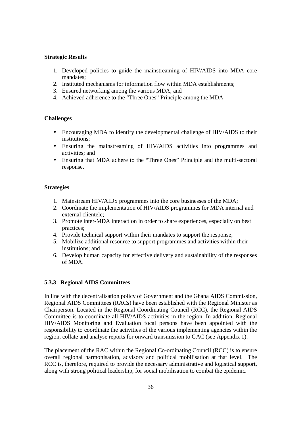### **Strategic Results**

- 1. Developed policies to guide the mainstreaming of HIV/AIDS into MDA core mandates;
- 2. Instituted mechanisms for information flow within MDA establishments;
- 3. Ensured networking among the various MDA; and
- 4. Achieved adherence to the "Three Ones" Principle among the MDA.

### **Challenges**

- Encouraging MDA to identify the developmental challenge of HIV/AIDS to their institutions;
- Ensuring the mainstreaming of HIV/AIDS activities into programmes and activities; and
- Ensuring that MDA adhere to the "Three Ones" Principle and the multi-sectoral response.

#### **Strategies**

- 1. Mainstream HIV/AIDS programmes into the core businesses of the MDA;
- 2. Coordinate the implementation of HIV/AIDS programmes for MDA internal and external clientele;
- 3. Promote inter-MDA interaction in order to share experiences, especially on best practices;
- 4. Provide technical support within their mandates to support the response;
- 5. Mobilize additional resource to support programmes and activities within their institutions; and
- 6. Develop human capacity for effective delivery and sustainability of the responses of MDA.

#### **5.3.3 Regional AIDS Committees**

In line with the decentralisation policy of Government and the Ghana AIDS Commission, Regional AIDS Committees (RACs) have been established with the Regional Minister as Chairperson. Located in the Regional Coordinating Council (RCC), the Regional AIDS Committee is to coordinate all HIV/AIDS activities in the region. In addition, Regional HIV/AIDS Monitoring and Evaluation focal persons have been appointed with the responsibility to coordinate the activities of the various implementing agencies within the region, collate and analyse reports for onward transmission to GAC (see Appendix 1).

The placement of the RAC within the Regional Co-ordinating Council (RCC) is to ensure overall regional harmonisation, advisory and political mobilisation at that level. The RCC is, therefore, required to provide the necessary administrative and logistical support, along with strong political leadership, for social mobilisation to combat the epidemic.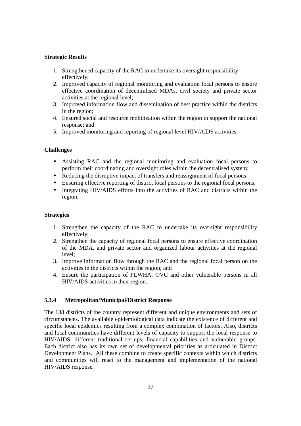# **Strategic Results**

- 1. Strengthened capacity of the RAC to undertake its oversight responsibility effectively;
- 2. Improved capacity of regional monitoring and evaluation focal persons to ensure effective coordination of decentralised MDAs, civil society and private sector activities at the regional level;
- 3. Improved information flow and dissemination of best practice within the districts in the region;
- 4. Ensured social and resource mobilization within the region to support the national response; and
- 5. Improved monitoring and reporting of regional level HIV/AIDS activities.

# **Challenges**

- Assisting RAC and the regional monitoring and evaluation focal persons to perform their coordinating and oversight roles within the decentralised system;
- Reducing the disruptive impact of transfers and reassignment of focal persons;
- Ensuring effective reporting of district focal persons to the regional focal persons;
- Integrating HIV/AIDS efforts into the activities of RAC and districts within the region.

# **Strategies**

- 1. Strengthen the capacity of the RAC to undertake its oversight responsibility effectively;
- 2. Strengthen the capacity of regional focal persons to ensure effective coordination of the MDA, and private sector and organized labour activities at the regional level;
- 3. Improve information flow through the RAC and the regional focal person on the activities in the districts within the region; and
- 4. Ensure the participation of PLWHA, OVC and other vulnerable persons in all HIV/AIDS activities in their region.

# **5.3.4 Metropolitan/Municipal/District Response**

The 138 districts of the country represent different and unique environments and sets of circumstances. The available epidemiological data indicate the existence of different and specific local epidemics resulting from a complex combination of factors. Also, districts and local communities have different levels of capacity to support the local response to HIV/AIDS, different traditional set-ups, financial capabilities and vulnerable groups. Each district also has its own set of developmental priorities as articulated in District Development Plans. All these combine to create specific contexts within which districts and communities will react to the management and implementation of the national HIV/AIDS response.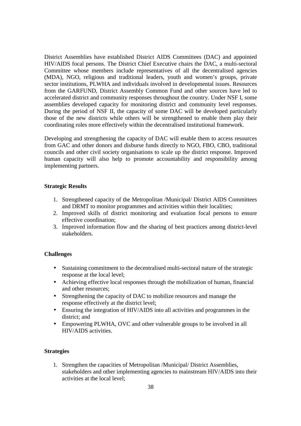District Assemblies have established District AIDS Committees (DAC) and appointed HIV/AIDS focal persons. The District Chief Executive chairs the DAC, a multi-sectoral Committee whose members include representatives of all the decentralised agencies (MDA), NGO, religious and traditional leaders, youth and women's groups, private sector institutions, PLWHA and individuals involved in developmental issues. Resources from the GARFUND, District Assembly Common Fund and other sources have led to accelerated district and community responses throughout the country. Under NSF I, some assemblies developed capacity for monitoring district and community level responses. During the period of NSF II, the capacity of some DAC will be developed particularly those of the new districts while others will be strengthened to enable them play their coordinating roles more effectively within the decentralised institutional framework.

Developing and strengthening the capacity of DAC will enable them to access resources from GAC and other donors and disburse funds directly to NGO, FBO, CBO, traditional councils and other civil society organisations to scale up the district response. Improved human capacity will also help to promote accountability and responsibility among implementing partners.

## **Strategic Results**

- 1. Strengthened capacity of the Metropolitan /Municipal/ District AIDS Committees and DRMT to monitor programmes and activities within their localities;
- 2. Improved skills of district monitoring and evaluation focal persons to ensure effective coordination;
- 3. Improved information flow and the sharing of best practices among district-level stakeholders.

#### **Challenges**

- Sustaining commitment to the decentralised multi-sectoral nature of the strategic response at the local level;
- Achieving effective local responses through the mobilization of human, financial and other resources;
- Strengthening the capacity of DAC to mobilize resources and manage the response effectively at the district level;
- Ensuring the integration of HIV/AIDS into all activities and programmes in the district; and
- Empowering PLWHA, OVC and other vulnerable groups to be involved in all HIV/AIDS activities.

#### **Strategies**

1. Strengthen the capacities of Metropolitan /Municipal/ District Assemblies, stakeholders and other implementing agencies to mainstream HIV/AIDS into their activities at the local level;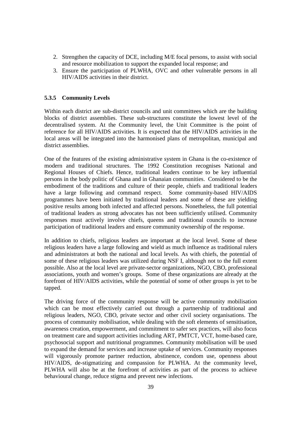- 2. Strengthen the capacity of DCE, including M/E focal persons, to assist with social and resource mobilization to support the expanded local response; and
- 3. Ensure the participation of PLWHA, OVC and other vulnerable persons in all HIV/AIDS activities in their district.

## **5.3.5 Community Levels**

Within each district are sub-district councils and unit committees which are the building blocks of district assemblies. These sub-structures constitute the lowest level of the decentralised system. At the Community level, the Unit Committee is the point of reference for all HIV/AIDS activities. It is expected that the HIV/AIDS activities in the local areas will be integrated into the harmonised plans of metropolitan, municipal and district assemblies.

One of the features of the existing administrative system in Ghana is the co-existence of modern and traditional structures. The 1992 Constitution recognises National and Regional Houses of Chiefs. Hence, traditional leaders continue to be key influential persons in the body politic of Ghana and in Ghanaian communities. Considered to be the embodiment of the traditions and culture of their people, chiefs and traditional leaders have a large following and command respect. Some community-based HIV/AIDS programmes have been initiated by traditional leaders and some of these are yielding positive results among both infected and affected persons. Nonetheless, the full potential of traditional leaders as strong advocates has not been sufficiently utilised. Community responses must actively involve chiefs, queens and traditional councils to increase participation of traditional leaders and ensure community ownership of the response.

In addition to chiefs, religious leaders are important at the local level. Some of these religious leaders have a large following and wield as much influence as traditional rulers and administrators at both the national and local levels. As with chiefs, the potential of some of these religious leaders was utilized during NSF I, although not to the full extent possible. Also at the local level are private-sector organizations, NGO, CBO, professional associations, youth and women's groups. Some of these organizations are already at the forefront of HIV/AIDS activities, while the potential of some of other groups is yet to be tapped.

The driving force of the community response will be active community mobilisation which can be most effectively carried out through a partnership of traditional and religious leaders, NGO, CBO, private sector and other civil society organisations. The process of community mobilisation, while dealing with the soft elements of sensitisation, awareness creation, empowerment, and commitment to safer sex practices, will also focus on treatment care and support activities including ART, PMTCT, VCT, home-based care, psychosocial support and nutritional programmes. Community mobilisation will be used to expand the demand for services and increase uptake of services. Community responses will vigorously promote partner reduction, abstinence, condom use, openness about HIV/AIDS, de-stigmatizing and compassion for PLWHA. At the community level, PLWHA will also be at the forefront of activities as part of the process to achieve behavioural change, reduce stigma and prevent new infections.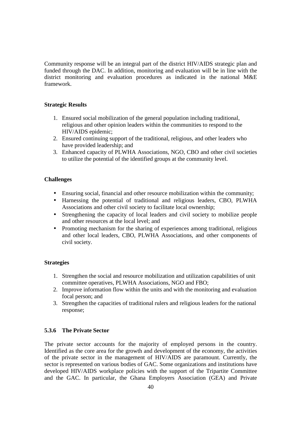Community response will be an integral part of the district HIV/AIDS strategic plan and funded through the DAC. In addition, monitoring and evaluation will be in line with the district monitoring and evaluation procedures as indicated in the national M&E framework.

#### **Strategic Results**

- 1. Ensured social mobilization of the general population including traditional, religious and other opinion leaders within the communities to respond to the HIV/AIDS epidemic;
- 2. Ensured continuing support of the traditional, religious, and other leaders who have provided leadership; and
- 3. Enhanced capacity of PLWHA Associations, NGO, CBO and other civil societies to utilize the potential of the identified groups at the community level.

## **Challenges**

- Ensuring social, financial and other resource mobilization within the community;
- Harnessing the potential of traditional and religious leaders, CBO, PLWHA Associations and other civil society to facilitate local ownership;
- Strengthening the capacity of local leaders and civil society to mobilize people and other resources at the local level; and
- Promoting mechanism for the sharing of experiences among traditional, religious and other local leaders, CBO, PLWHA Associations, and other components of civil society.

#### **Strategies**

- 1. Strengthen the social and resource mobilization and utilization capabilities of unit committee operatives, PLWHA Associations, NGO and FBO;
- 2. Improve information flow within the units and with the monitoring and evaluation focal person; and
- 3. Strengthen the capacities of traditional rulers and religious leaders for the national response;

## **5.3.6 The Private Sector**

The private sector accounts for the majority of employed persons in the country. Identified as the core area for the growth and development of the economy, the activities of the private sector in the management of HIV/AIDS are paramount. Currently, the sector is represented on various bodies of GAC. Some organizations and institutions have developed HIV/AIDS workplace policies with the support of the Tripartite Committee and the GAC. In particular, the Ghana Employers Association (GEA) and Private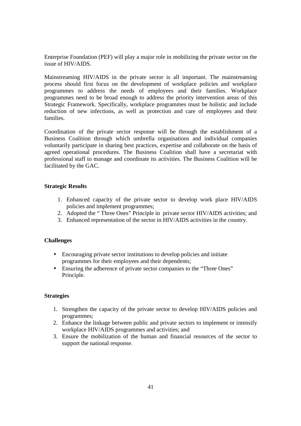Enterprise Foundation (PEF) will play a major role in mobilizing the private sector on the issue of HIV/AIDS.

Mainstreaming HIV/AIDS in the private sector is all important. The mainstreaming process should first focus on the development of workplace policies and workplace programmes to address the needs of employees and their families. Workplace programmes need to be broad enough to address the priority intervention areas of this Strategic Framework. Specifically, workplace programmes must be holistic and include reduction of new infections, as well as protection and care of employees and their families.

Coordination of the private sector response will be through the establishment of a Business Coalition through which umbrella organisations and individual companies voluntarily participate in sharing best practices, expertise and collaborate on the basis of agreed operational procedures. The Business Coalition shall have a secretariat with professional staff to manage and coordinate its activities. The Business Coalition will be facilitated by the GAC.

## **Strategic Results**

- 1. Enhanced capacity of the private sector to develop work place HIV/AIDS policies and implement programmes;
- 2. Adopted the " Three Ones" Principle in private sector HIV/AIDS activities; and
- 3. Enhanced representation of the sector in HIV/AIDS activities in the country.

#### **Challenges**

- Encouraging private sector institutions to develop policies and initiate programmes for their employees and their dependents;
- Ensuring the adherence of private sector companies to the "Three Ones" Principle.

# **Strategies**

- 1. Strengthen the capacity of the private sector to develop HIV/AIDS policies and programmes;
- 2. Enhance the linkage between public and private sectors to implement or intensify workplace HIV/AIDS programmes and activities; and
- 3. Ensure the mobilization of the human and financial resources of the sector to support the national response.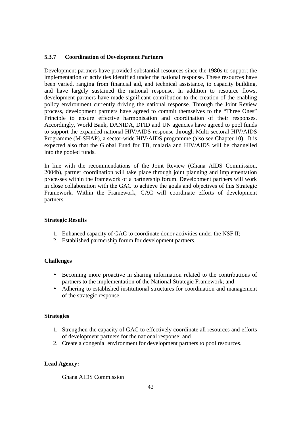# **5.3.7 Coordination of Development Partners**

Development partners have provided substantial resources since the 1980s to support the implementation of activities identified under the national response. These resources have been varied, ranging from financial aid, and technical assistance, to capacity building, and have largely sustained the national response. In addition to resource flows, development partners have made significant contribution to the creation of the enabling policy environment currently driving the national response. Through the Joint Review process, development partners have agreed to commit themselves to the "Three Ones" Principle to ensure effective harmonisation and coordination of their responses. Accordingly, World Bank, DANIDA, DFID and UN agencies have agreed to pool funds to support the expanded national HIV/AIDS response through Multi-sectoral HIV/AIDS Programme (M-SHAP), a sector-wide HIV/AIDS programme (also see Chapter 10). It is expected also that the Global Fund for TB, malaria and HIV/AIDS will be channelled into the pooled funds.

In line with the recommendations of the Joint Review (Ghana AIDS Commission, 2004b), partner coordination will take place through joint planning and implementation processes within the framework of a partnership forum. Development partners will work in close collaboration with the GAC to achieve the goals and objectives of this Strategic Framework. Within the Framework, GAC will coordinate efforts of development partners.

# **Strategic Results**

- 1. Enhanced capacity of GAC to coordinate donor activities under the NSF II;
- 2. Established partnership forum for development partners.

# **Challenges**

- Becoming more proactive in sharing information related to the contributions of partners to the implementation of the National Strategic Framework; and
- Adhering to established institutional structures for coordination and management of the strategic response.

#### **Strategies**

- 1. Strengthen the capacity of GAC to effectively coordinate all resources and efforts of development partners for the national response; and
- 2. Create a congenial environment for development partners to pool resources.

# **Lead Agency:**

Ghana AIDS Commission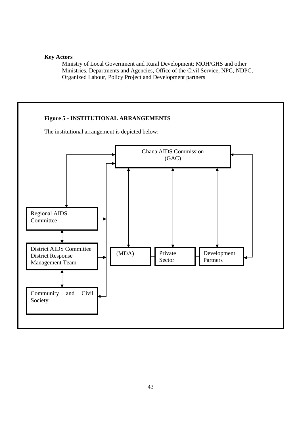# **Key Actors**

Ministry of Local Government and Rural Development; MOH/GHS and other Ministries, Departments and Agencies, Office of the Civil Service, NPC, NDPC, Organized Labour, Policy Project and Development partners

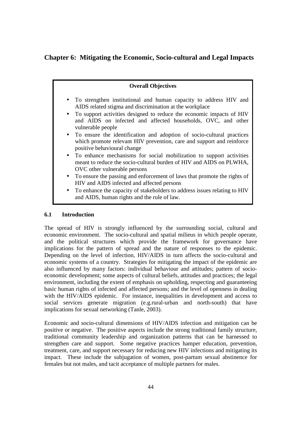**Chapter 6: Mitigating the Economic, Socio-cultural and Legal Impacts**

# **Overall Objectives**  • To strengthen institutional and human capacity to address HIV and AIDS related stigma and discrimination at the workplace • To support activities designed to reduce the economic impacts of HIV and AIDS on infected and affected households, OVC, and other vulnerable people • To ensure the identification and adoption of socio-cultural practices which promote relevant HIV prevention, care and support and reinforce positive behavioural change • To enhance mechanisms for social mobilization to support activities meant to reduce the socio-cultural burden of HIV and AIDS on PLWHA, OVC other vulnerable persons • To ensure the passing and enforcement of laws that promote the rights of HIV and AIDS infected and affected persons • To enhance the capacity of stakeholders to address issues relating to HIV and AIDS, human rights and the rule of law.

# **6.1 Introduction**

The spread of HIV is strongly influenced by the surrounding social, cultural and economic environment. The socio-cultural and spatial milieus in which people operate, and the political structures which provide the framework for governance have implications for the pattern of spread and the nature of responses to the epidemic. Depending on the level of infection, HIV/AIDS in turn affects the socio-cultural and economic systems of a country. Strategies for mitigating the impact of the epidemic are also influenced by many factors: individual behaviour and attitudes; pattern of socioeconomic development; some aspects of cultural beliefs, attitudes and practices; the legal environment, including the extent of emphasis on upholding, respecting and guaranteeing basic human rights of infected and affected persons; and the level of openness in dealing with the HIV/AIDS epidemic. For instance, inequalities in development and access to social services generate migration (e.g.rural-urban and north-south) that have implications for sexual networking (Tanle, 2003).

Economic and socio-cultural dimensions of HIV/AIDS infection and mitigation can be positive or negative. The positive aspects include the strong traditional family structure, traditional community leadership and organization patterns that can be harnessed to strengthen care and support. Some negative practices hamper education, prevention, treatment, care, and support necessary for reducing new HIV infections and mitigating its impact. These include the subjugation of women, post-partum sexual abstinence for females but not males, and tacit acceptance of multiple partners for males.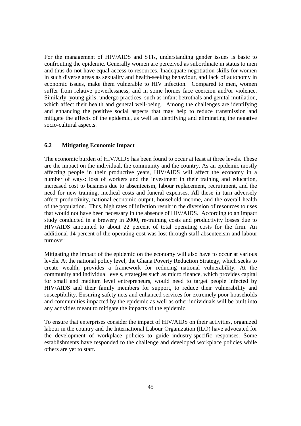For the management of HIV/AIDS and STIs, understanding gender issues is basic to confronting the epidemic. Generally women are perceived as subordinate in status to men and thus do not have equal access to resources. Inadequate negotiation skills for women in such diverse areas as sexuality and health-seeking behaviour, and lack of autonomy in economic issues, make them vulnerable to HIV infection. Compared to men, women suffer from relative powerlessness, and in some homes face coercion and/or violence. Similarly, young girls, undergo practices, such as infant betrothals and genital mutilation, which affect their health and general well-being. Among the challenges are identifying and enhancing the positive social aspects that may help to reduce transmission and mitigate the affects of the epidemic, as well as identifying and eliminating the negative socio-cultural aspects.

## **6.2 Mitigating Economic Impact**

The economic burden of HIV/AIDS has been found to occur at least at three levels. These are the impact on the individual, the community and the country. As an epidemic mostly affecting people in their productive years, HIV/AIDS will affect the economy in a number of ways: loss of workers and the investment in their training and education, increased cost to business due to absenteeism, labour replacement, recruitment, and the need for new training, medical costs and funeral expenses. All these in turn adversely affect productivity, national economic output, household income, and the overall health of the population. Thus, high rates of infection result in the diversion of resources to uses that would not have been necessary in the absence of HIV/AIDS. According to an impact study conducted in a brewery in 2000, re-training costs and productivity losses due to HIV/AIDS amounted to about 22 percent of total operating costs for the firm. An additional 14 percent of the operating cost was lost through staff absenteeism and labour turnover.

Mitigating the impact of the epidemic on the economy will also have to occur at various levels. At the national policy level, the Ghana Poverty Reduction Strategy, which seeks to create wealth, provides a framework for reducing national vulnerability. At the community and individual levels, strategies such as micro finance, which provides capital for small and medium level entrepreneurs, would need to target people infected by HIV/AIDS and their family members for support, to reduce their vulnerability and susceptibility. Ensuring safety nets and enhanced services for extremely poor households and communities impacted by the epidemic as well as other individuals will be built into any activities meant to mitigate the impacts of the epidemic.

To ensure that enterprises consider the impact of HIV/AIDS on their activities, organized labour in the country and the International Labour Organization (ILO) have advocated for the development of workplace policies to guide industry-specific responses. Some establishments have responded to the challenge and developed workplace policies while others are yet to start.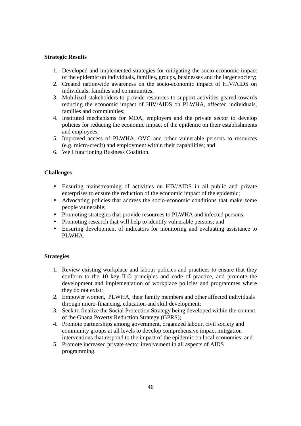# **Strategic Results**

- 1. Developed and implemented strategies for mitigating the socio-economic impact of the epidemic on individuals, families, groups, businesses and the larger society;
- 2. Created nationwide awareness on the socio-economic impact of HIV/AIDS on individuals, families and communities;
- 3. Mobilized stakeholders to provide resources to support activities geared towards reducing the economic impact of HIV/AIDS on PLWHA, affected individuals, families and communities;
- 4. Instituted mechanisms for MDA, employers and the private sector to develop policies for reducing the economic impact of the epidemic on their establishments and employees;
- 5. Improved access of PLWHA, OVC and other vulnerable persons to resources (e.g. micro-credit) and employment within their capabilities; and
- 6. Well functioning Business Coalition.

## **Challenges**

- Ensuring mainstreaming of activities on HIV/AIDS in all public and private enterprises to ensure the reduction of the economic impact of the epidemic;
- Advocating policies that address the socio-economic conditions that make some people vulnerable;
- Promoting strategies that provide resources to PLWHA and infected persons;
- Promoting research that will help to identify vulnerable persons; and
- Ensuring development of indicators for monitoring and evaluating assistance to PLWHA.

#### **Strategies**

- 1. Review existing workplace and labour policies and practices to ensure that they conform to the 10 key ILO principles and code of practice, and promote the development and implementation of workplace policies and programmes where they do not exist;
- 2. Empower women, PLWHA, their family members and other affected individuals through micro-financing, education and skill development;
- 3. Seek to finalize the Social Protection Strategy being developed within the context of the Ghana Poverty Reduction Strategy (GPRS);
- 4. Promote partnerships among government, organized labour, civil society and community groups at all levels to develop comprehensive impact mitigation interventions that respond to the impact of the epidemic on local economies; and
- 5. Promote increased private sector involvement in all aspects of AIDS programming.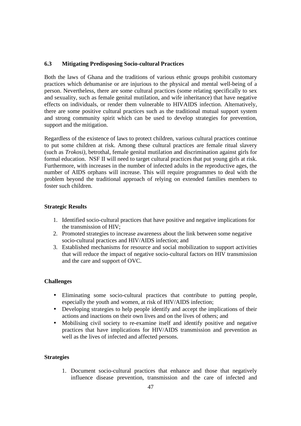# **6.3 Mitigating Predisposing Socio-cultural Practices**

Both the laws of Ghana and the traditions of various ethnic groups prohibit customary practices which dehumanise or are injurious to the physical and mental well-being of a person. Nevertheless, there are some cultural practices (some relating specifically to sex and sexuality, such as female genital mutilation, and wife inheritance) that have negative effects on individuals, or render them vulnerable to HIVAIDS infection. Alternatively, there are some positive cultural practices such as the traditional mutual support system and strong community spirit which can be used to develop strategies for prevention, support and the mitigation.

Regardless of the existence of laws to protect children, various cultural practices continue to put some children at risk. Among these cultural practices are female ritual slavery (such as *Trokosi)*, betrothal, female genital mutilation and discrimination against girls for formal education. NSF II will need to target cultural practices that put young girls at risk. Furthermore, with increases in the number of infected adults in the reproductive ages, the number of AIDS orphans will increase. This will require programmes to deal with the problem beyond the traditional approach of relying on extended families members to foster such children.

#### **Strategic Results**

- 1. Identified socio-cultural practices that have positive and negative implications for the transmission of HIV;
- 2. Promoted strategies to increase awareness about the link between some negative socio-cultural practices and HIV/AIDS infection; and
- 3. Established mechanisms for resource and social mobilization to support activities that will reduce the impact of negative socio-cultural factors on HIV transmission and the care and support of OVC.

#### **Challenges**

- Eliminating some socio-cultural practices that contribute to putting people, especially the youth and women, at risk of HIV/AIDS infection;
- Developing strategies to help people identify and accept the implications of their actions and inactions on their own lives and on the lives of others; and
- Mobilising civil society to re-examine itself and identify positive and negative practices that have implications for HIV/AIDS transmission and prevention as well as the lives of infected and affected persons.

#### **Strategies**

1. Document socio-cultural practices that enhance and those that negatively influence disease prevention, transmission and the care of infected and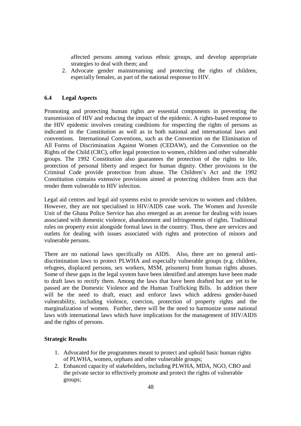affected persons among various ethnic groups, and develop appropriate strategies to deal with them; and

2. Advocate gender mainstreaming and protecting the rights of children, especially females, as part of the national response to HIV.

# **6.4 Legal Aspects**

Promoting and protecting human rights are essential components in preventing the transmission of HIV and reducing the impact of the epidemic. A rights-based response to the HIV epidemic involves creating conditions for respecting the rights of persons as indicated in the Constitution as well as in both national and international laws and conventions. International Conventions, such as the Convention on the Elimination of All Forms of Discrimination Against Women (CEDAW), and the Convention on the Rights of the Child (CRC), offer legal protection to women, children and other vulnerable groups. The 1992 Constitution also guarantees the protection of the rights to life, protection of personal liberty and respect for human dignity. Other provisions in the Criminal Code provide protection from abuse. The Children's Act and the 1992 Constitution contains extensive provisions aimed at protecting children from acts that render them vulnerable to HIV infection.

Legal aid centres and legal aid systems exist to provide services to women and children. However, they are not specialised in HIV/AIDS case work. The Women and Juvenile Unit of the Ghana Police Service has also emerged as an avenue for dealing with issues associated with domestic violence, abandonment and infringements of rights. Traditional rules on property exist alongside formal laws in the country. Thus, there are services and outlets for dealing with issues associated with rights and protection of minors and vulnerable persons.

There are no national laws specifically on AIDS. Also, there are no general antidiscrimination laws to protect PLWHA and especially vulnerable groups (e.g. children, refugees, displaced persons, sex workers, MSM, prisoners) from human rights abuses. Some of these gaps in the legal system have been identified and attempts have been made to draft laws to rectify them. Among the laws that have been drafted but are yet to be passed are the Domestic Violence and the Human Trafficking Bills. In addition there will be the need to draft, enact and enforce laws which address gender-based vulnerability, including violence, coercion, protection of property rights and the marginalization of women. Further, there will be the need to harmonize some national laws with international laws which have implications for the management of HIV/AIDS and the rights of persons.

#### **Strategic Results**

- 1. Advocated for the programmes meant to protect and uphold basic human rights of PLWHA, women, orphans and other vulnerable groups;
- 2. Enhanced capacity of stakeholders, including PLWHA, MDA, NGO, CBO and the private sector to effectively promote and protect the rights of vulnerable groups;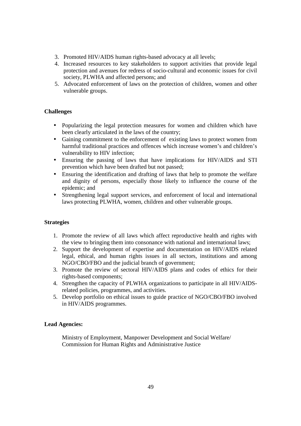- 3. Promoted HIV/AIDS human rights-based advocacy at all levels;
- 4. Increased resources to key stakeholders to support activities that provide legal protection and avenues for redress of socio-cultural and economic issues for civil society, PLWHA and affected persons; and
- 5. Advocated enforcement of laws on the protection of children, women and other vulnerable groups.

# **Challenges**

- Popularizing the legal protection measures for women and children which have been clearly articulated in the laws of the country;
- Gaining commitment to the enforcement of existing laws to protect women from harmful traditional practices and offences which increase women's and children's vulnerability to HIV infection;
- Ensuring the passing of laws that have implications for HIV/AIDS and STI prevention which have been drafted but not passed;
- Ensuring the identification and drafting of laws that help to promote the welfare and dignity of persons, especially those likely to influence the course of the epidemic; and
- Strengthening legal support services, and enforcement of local and international laws protecting PLWHA, women, children and other vulnerable groups.

# **Strategies**

- 1. Promote the review of all laws which affect reproductive health and rights with the view to bringing them into consonance with national and international laws;
- 2. Support the development of expertise and documentation on HIV/AIDS related legal, ethical, and human rights issues in all sectors, institutions and among NGO/CBO/FBO and the judicial branch of government;
- 3. Promote the review of sectoral HIV/AIDS plans and codes of ethics for their rights-based components;
- 4. Strengthen the capacity of PLWHA organizations to participate in all HIV/AIDSrelated policies, programmes, and activities.
- 5. Develop portfolio on ethical issues to guide practice of NGO/CBO/FBO involved in HIV/AIDS programmes.

# **Lead Agencies:**

Ministry of Employment, Manpower Development and Social Welfare/ Commission for Human Rights and Administrative Justice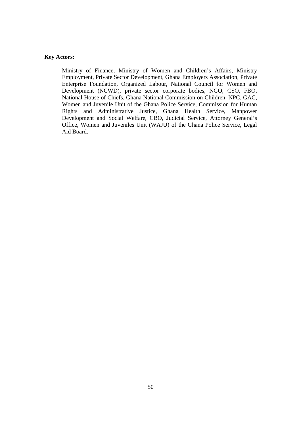#### **Key Actors:**

Ministry of Finance, Ministry of Women and Children's Affairs, Ministry Employment, Private Sector Development, Ghana Employers Association, Private Enterprise Foundation, Organized Labour, National Council for Women and Development (NCWD), private sector corporate bodies, NGO, CSO, FBO, National House of Chiefs, Ghana National Commission on Children, NPC, GAC, Women and Juvenile Unit of the Ghana Police Service, Commission for Human Rights and Administrative Justice, Ghana Health Service, Manpower Development and Social Welfare, CBO, Judicial Service, Attorney General's Office, Women and Juveniles Unit (WAJU) of the Ghana Police Service, Legal Aid Board.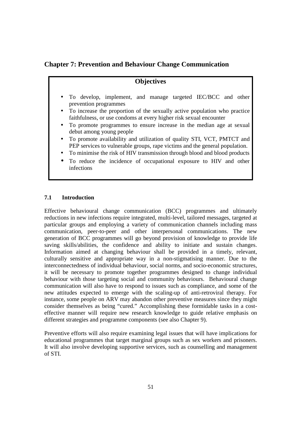**Chapter 7: Prevention and Behaviour Change Communication** 

# **Objectives**

- To develop, implement, and manage targeted IEC/BCC and other prevention programmes
- To increase the proportion of the sexually active population who practice faithfulness, or use condoms at every higher risk sexual encounter
- To promote programmes to ensure increase in the median age at sexual debut among young people
- To promote availability and utilization of quality STI, VCT, PMTCT and PEP services to vulnerable groups, rape victims and the general population.
- To minimise the risk of HIV transmission through blood and blood products
- To reduce the incidence of occupational exposure to HIV and other infections

# **7.1 Introduction**

Effective behavioural change communication (BCC) programmes and ultimately reductions in new infections require integrated, multi-level, tailored messages, targeted at particular groups and employing a variety of communication channels including mass communication, peer-to-peer and other interpersonal communications. The new generation of BCC programmes will go beyond provision of knowledge to provide life saving skills/abilities, the confidence and ability to initiate and sustain changes. Information aimed at changing behaviour shall be provided in a timely, relevant, culturally sensitive and appropriate way in a non-stigmatising manner. Due to the interconnectedness of individual behaviour, social norms, and socio-economic structures, it will be necessary to promote together programmes designed to change individual behaviour with those targeting social and community behaviours. Behavioural change communication will also have to respond to issues such as compliance, and some of the new attitudes expected to emerge with the scaling-up of anti-retroviral therapy. For instance, some people on ARV may abandon other preventive measures since they might consider themselves as being "cured." Accomplishing these formidable tasks in a costeffective manner will require new research knowledge to guide relative emphasis on different strategies and programme components (see also Chapter 9).

Preventive efforts will also require examining legal issues that will have implications for educational programmes that target marginal groups such as sex workers and prisoners. It will also involve developing supportive services, such as counselling and management of STI.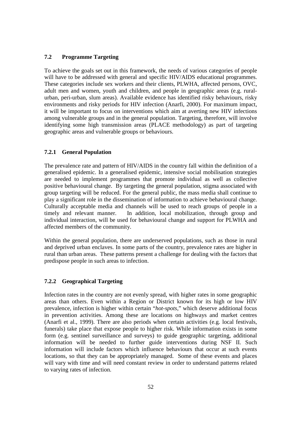# **7.2 Programme Targeting**

To achieve the goals set out in this framework, the needs of various categories of people will have to be addressed with general and specific HIV/AIDS educational programmes. These categories include sex workers and their clients, PLWHA, affected persons, OVC, adult men and women, youth and children, and people in geographic areas (e.g. ruralurban, peri-urban, slum areas). Available evidence has identified risky behaviours, risky environments and risky periods for HIV infection (Anarfi, 2000). For maximum impact, it will be important to focus on interventions which aim at averting new HIV infections among vulnerable groups and in the general population. Targeting, therefore, will involve identifying some high transmission areas (PLACE methodology) as part of targeting geographic areas and vulnerable groups or behaviours.

# **7.2.1 General Population**

The prevalence rate and pattern of HIV/AIDS in the country fall within the definition of a generalised epidemic. In a generalised epidemic, intensive social mobilisation strategies are needed to implement programmes that promote individual as well as collective positive behavioural change. By targeting the general population, stigma associated with group targeting will be reduced. For the general public, the mass media shall continue to play a significant role in the dissemination of information to achieve behavioural change. Culturally acceptable media and channels will be used to reach groups of people in a timely and relevant manner. In addition, local mobilization, through group and individual interaction, will be used for behavioural change and support for PLWHA and affected members of the community.

Within the general population, there are underserved populations, such as those in rural and deprived urban enclaves. In some parts of the country, prevalence rates are higher in rural than urban areas. These patterns present a challenge for dealing with the factors that predispose people in such areas to infection.

#### **7.2.2 Geographical Targeting**

Infection rates in the country are not evenly spread, with higher rates in some geographic areas than others. Even within a Region or District known for its high or low HIV prevalence, infection is higher within certain "*hot-spots,*" which deserve additional focus in prevention activities. Among these are locations on highways and market centres (Anarfi et al., 1999). There are also periods when certain activities (e.g. local festivals, funerals) take place that expose people to higher risk. While information exists in some form (e.g. sentinel surveillance and surveys) to guide geographic targeting, additional information will be needed to further guide interventions during NSF II. Such information will include factors which influence behaviours that occur at such events locations, so that they can be appropriately managed. Some of these events and places will vary with time and will need constant review in order to understand patterns related to varying rates of infection.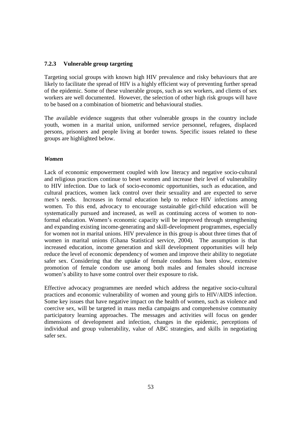## **7.2.3****Vulnerable group targeting**

Targeting social groups with known high HIV prevalence and risky behaviours that are likely to facilitate the spread of HIV is a highly efficient way of preventing further spread of the epidemic. Some of these vulnerable groups, such as sex workers, and clients of sex workers are well documented. However, the selection of other high risk groups will have to be based on a combination of biometric and behavioural studies.

The available evidence suggests that other vulnerable groups in the country include youth, women in a marital union, uniformed service personnel, refugees, displaced persons, prisoners and people living at border towns. Specific issues related to these groups are highlighted below.

## *Women*

Lack of economic empowerment coupled with low literacy and negative socio-cultural and religious practices continue to beset women and increase their level of vulnerability to HIV infection. Due to lack of socio-economic opportunities, such as education, and cultural practices, women lack control over their sexuality and are expected to serve men's needs. Increases in formal education help to reduce HIV infections among women. To this end, advocacy to encourage sustainable girl-child education will be systematically pursued and increased, as well as continuing access of women to nonformal education. Women's economic capacity will be improved through strengthening and expanding existing income-generating and skill-development programmes, especially for women not in marital unions. HIV prevalence in this group is about three times that of women in marital unions (Ghana Statistical service, 2004). The assumption is that increased education, income generation and skill development opportunities will help reduce the level of economic dependency of women and improve their ability to negotiate safer sex. Considering that the uptake of female condoms has been slow, extensive promotion of female condom use among both males and females should increase women's ability to have some control over their exposure to risk.

Effective advocacy programmes are needed which address the negative socio-cultural practices and economic vulnerability of women and young girls to HIV/AIDS infection. Some key issues that have negative impact on the health of women, such as violence and coercive sex, will be targeted in mass media campaigns and comprehensive community participatory learning approaches. The messages and activities will focus on gender dimensions of development and infection, changes in the epidemic, perceptions of individual and group vulnerability, value of ABC strategies, and skills in negotiating safer sex.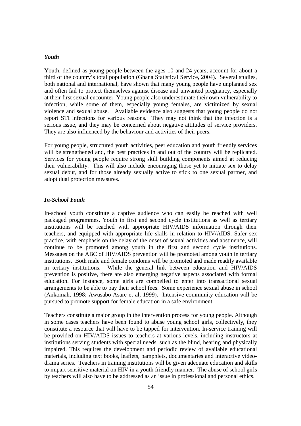#### *Youth*

Youth, defined as young people between the ages 10 and 24 years, account for about a third of the country's total population (Ghana Statistical Service, 2004). Several studies, both national and international, have shown that many young people have unplanned sex and often fail to protect themselves against disease and unwanted pregnancy, especially at their first sexual encounter. Young people also underestimate their own vulnerability to infection, while some of them, especially young females, are victimized by sexual violence and sexual abuse. Available evidence also suggests that young people do not report STI infections for various reasons. They may not think that the infection is a serious issue, and they may be concerned about negative attitudes of service providers. They are also influenced by the behaviour and activities of their peers.

For young people, structured youth activities, peer education and youth friendly services will be strengthened and, the best practices in and out of the country will be replicated. Services for young people require strong skill building components aimed at reducing their vulnerability. This will also include encouraging those yet to initiate sex to delay sexual debut, and for those already sexually active to stick to one sexual partner, and adopt dual protection measures.

#### *In-School Youth*

In-school youth constitute a captive audience who can easily be reached with well packaged programmes. Youth in first and second cycle institutions as well as tertiary institutions will be reached with appropriate HIV/AIDS information through their teachers, and equipped with appropriate life skills in relation to HIV/AIDS. Safer sex practice, with emphasis on the delay of the onset of sexual activities and abstinence, will continue to be promoted among youth in the first and second cycle institutions. Messages on the ABC of HIV/AIDS prevention will be promoted among youth in tertiary institutions. Both male and female condoms will be promoted and made readily available in tertiary institutions. While the general link between education and HIV/AIDS prevention is positive, there are also emerging negative aspects associated with formal education. For instance, some girls are compelled to enter into transactional sexual arrangements to be able to pay their school fees. Some experience sexual abuse in school (Ankomah, 1998; Awusabo-Asare et al, 1999). Intensive community education will be pursued to promote support for female education in a safe environment.

Teachers constitute a major group in the intervention process for young people. Although in some cases teachers have been found to abuse young school girls, collectively, they constitute a resource that will have to be tapped for intervention. In-service training will be provided on HIV/AIDS issues to teachers at various levels, including instructors at institutions serving students with special needs, such as the blind, hearing and physically impaired. This requires the development and periodic review of available educational materials, including text books, leaflets, pamphlets, documentaries and interactive videodrama series. Teachers in training institutions will be given adequate education and skills to impart sensitive material on HIV in a youth friendly manner. The abuse of school girls by teachers will also have to be addressed as an issue in professional and personal ethics.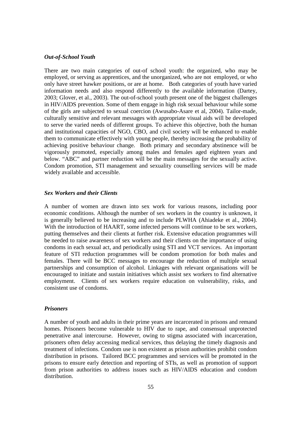#### *Out-of-School Youth*

There are two main categories of out-of school youth: the organized, who may be employed, or serving as apprentices, and the unorganized, who are not employed, or who only have street hawker positions, or are at home. Both categories of youth have varied information needs and also respond differently to the available information (Dartey, 2003; Glover, et al., 2003). The out-of-school youth present one of the biggest challenges in HIV/AIDS prevention. Some of them engage in high risk sexual behaviour while some of the girls are subjected to sexual coercion (Awusabo-Asare et al, 2004). Tailor-made, culturally sensitive and relevant messages with appropriate visual aids will be developed to serve the varied needs of different groups. To achieve this objective, both the human and institutional capacities of NGO, CBO, and civil society will be enhanced to enable them to communicate effectively with young people, thereby increasing the probability of achieving positive behaviour change. Both primary and secondary abstinence will be vigorously promoted, especially among males and females aged eighteen years and below. "ABC" and partner reduction will be the main messages for the sexually active. Condom promotion, STI management and sexuality counselling services will be made widely available and accessible.

#### *Sex Workers and their Clients*

A number of women are drawn into sex work for various reasons, including poor economic conditions. Although the number of sex workers in the country is unknown, it is generally believed to be increasing and to include PLWHA (Ahiadeke et al., 2004). With the introduction of HAART, some infected persons will continue to be sex workers, putting themselves and their clients at further risk. Extensive education programmes will be needed to raise awareness of sex workers and their clients on the importance of using condoms in each sexual act, and periodically using STI and VCT services. An important feature of STI reduction programmes will be condom promotion for both males and females. There will be BCC messages to encourage the reduction of multiple sexual partnerships and consumption of alcohol. Linkages with relevant organisations will be encouraged to initiate and sustain initiatives which assist sex workers to find alternative employment. Clients of sex workers require education on vulnerability, risks, and consistent use of condoms.

#### *Prisoners*

A number of youth and adults in their prime years are incarcerated in prisons and remand homes. Prisoners become vulnerable to HIV due to rape, and consensual unprotected penetrative anal intercourse. However, owing to stigma associated with incarceration, prisoners often delay accessing medical services, thus delaying the timely diagnosis and treatment of infections. Condom use is non existent as prison authorities prohibit condom distribution in prisons. Tailored BCC programmes and services will be promoted in the prisons to ensure early detection and reporting of STIs, as well as promotion of support from prison authorities to address issues such as HIV/AIDS education and condom distribution.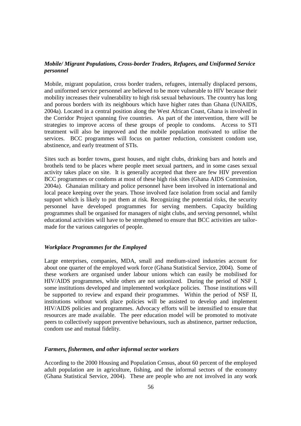# *Mobile/ Migrant Populations, Cross-border Traders, Refugees, and Uniformed Service personnel*

Mobile, migrant population, cross border traders, refugees, internally displaced persons, and uniformed service personnel are believed to be more vulnerable to HIV because their mobility increases their vulnerability to high risk sexual behaviours. The country has long and porous borders with its neighbours which have higher rates than Ghana (UNAIDS, 2004a). Located in a central position along the West African Coast, Ghana is involved in the Corridor Project spanning five countries. As part of the intervention, there will be strategies to improve access of these groups of people to condoms. Access to STI treatment will also be improved and the mobile population motivated to utilise the services. BCC programmes will focus on partner reduction, consistent condom use, abstinence, and early treatment of STIs.

Sites such as border towns, guest houses, and night clubs, drinking bars and hotels and brothels tend to be places where people meet sexual partners, and in some cases sexual activity takes place on site. It is generally accepted that there are few HIV prevention BCC programmes or condoms at most of these high risk sites (Ghana AIDS Commission, 2004a). Ghanaian military and police personnel have been involved in international and local peace keeping over the years. Those involved face isolation from social and family support which is likely to put them at risk. Recognizing the potential risks, the security personnel have developed programmes for serving members. Capacity building programmes shall be organised for managers of night clubs, and serving personnel, whilst educational activities will have to be strengthened to ensure that BCC activities are tailormade for the various categories of people.

#### *Workplace Programmes for the Employed*

Large enterprises, companies, MDA, small and medium-sized industries account for about one quarter of the employed work force (Ghana Statistical Service, 2004). Some of these workers are organised under labour unions which can easily be mobilised for HIV/AIDS programmes, while others are not unionized. During the period of NSF I, some institutions developed and implemented workplace policies. Those institutions will be supported to review and expand their programmes. Within the period of NSF II, institutions without work place policies will be assisted to develop and implement HIV/AIDS policies and programmes. Advocacy efforts will be intensified to ensure that resources are made available. The peer education model will be promoted to motivate peers to collectively support preventive behaviours, such as abstinence, partner reduction, condom use and mutual fidelity.

#### *Farmers, fishermen, and other informal sector workers*

According to the 2000 Housing and Population Census, about 60 percent of the employed adult population are in agriculture, fishing, and the informal sectors of the economy (Ghana Statistical Service, 2004). These are people who are not involved in any work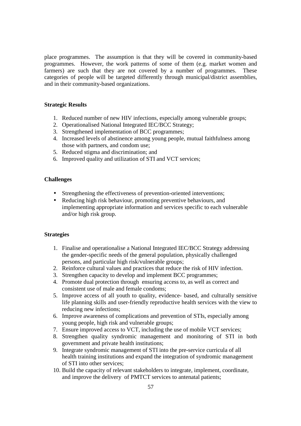place programmes. The assumption is that they will be covered in community-based programmes. However, the work patterns of some of them (e.g. market women and farmers) are such that they are not covered by a number of programmes. These categories of people will be targeted differently through municipal/district assemblies, and in their community-based organizations.

#### **Strategic Results**

- 1. Reduced number of new HIV infections, especially among vulnerable groups;
- 2. Operationalised National Integrated IEC/BCC Strategy;
- 3. Strengthened implementation of BCC programmes;
- 4. Increased levels of abstinence among young people, mutual faithfulness among those with partners, and condom use;
- 5. Reduced stigma and discrimination; and
- 6. Improved quality and utilization of STI and VCT services;

#### **Challenges**

- Strengthening the effectiveness of prevention-oriented interventions;
- Reducing high risk behaviour, promoting preventive behaviours, and implementing appropriate information and services specific to each vulnerable and/or high risk group.

#### **Strategies**

- 1. Finalise and operationalise a National Integrated IEC/BCC Strategy addressing the gender-specific needs of the general population, physically challenged persons, and particular high risk/vulnerable groups;
- 2. Reinforce cultural values and practices that reduce the risk of HIV infection.
- 3. Strengthen capacity to develop and implement BCC programmes;
- 4. Promote dual protection through ensuring access to, as well as correct and consistent use of male and female condoms;
- 5. Improve access of all youth to quality, evidence- based, and culturally sensitive life planning skills and user-friendly reproductive health services with the view to reducing new infections;
- 6. Improve awareness of complications and prevention of STIs, especially among young people, high risk and vulnerable groups;
- 7. Ensure improved access to VCT, including the use of mobile VCT services;
- 8. Strengthen quality syndromic management and monitoring of STI in both government and private health institutions;
- 9. Integrate syndromic management of STI into the pre-service curricula of all health training institutions and expand the integration of syndromic management of STI into other services;
- 10. Build the capacity of relevant stakeholders to integrate, implement, coordinate, and improve the delivery of PMTCT services to antenatal patients;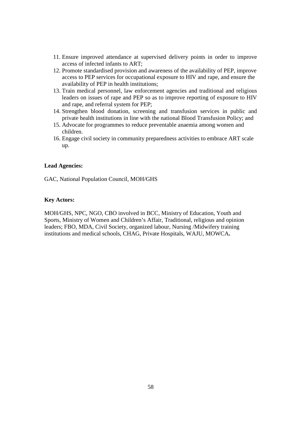- 11. Ensure improved attendance at supervised delivery points in order to improve access of infected infants to ART;
- 12. Promote standardised provision and awareness of the availability of PEP, improve access to PEP services for occupational exposure to HIV and rape, and ensure the availability of PEP in health institutions;
- 13. Train medical personnel, law enforcement agencies and traditional and religious leaders on issues of rape and PEP so as to improve reporting of exposure to HIV and rape, and referral system for PEP;
- 14. Strengthen blood donation, screening and transfusion services in public and private health institutions in line with the national Blood Transfusion Policy; and
- 15. Advocate for programmes to reduce preventable anaemia among women and children.
- 16. Engage civil society in community preparedness activities to embrace ART scale up.

#### **Lead Agencies:**

GAC, National Population Council, MOH/GHS

## **Key Actors:**

MOH/GHS, NPC, NGO, CBO involved in BCC, Ministry of Education, Youth and Sports, Ministry of Women and Children's Affair, Traditional, religious and opinion leaders; FBO, MDA, Civil Society, organized labour, Nursing /Midwifery training institutions and medical schools, CHAG, Private Hospitals, WAJU, MOWCA**.**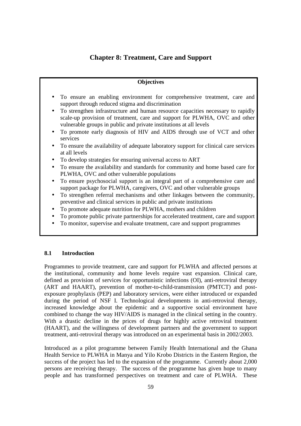# **Chapter 8: Treatment, Care and Support**

#### **Objectives**

- To ensure an enabling environment for comprehensive treatment, care and support through reduced stigma and discrimination
- To strengthen infrastructure and human resource capacities necessary to rapidly scale-up provision of treatment, care and support for PLWHA, OVC and other vulnerable groups in public and private institutions at all levels
- To promote early diagnosis of HIV and AIDS through use of VCT and other services
- To ensure the availability of adequate laboratory support for clinical care services at all levels
- To develop strategies for ensuring universal access to ART
- To ensure the availability and standards for community and home based care for PLWHA, OVC and other vulnerable populations
- To ensure psychosocial support is an integral part of a comprehensive care and support package for PLWHA, caregivers, OVC and other vulnerable groups
- To strengthen referral mechanisms and other linkages between the community, preventive and clinical services in public and private institutions
- To promote adequate nutrition for PLWHA, mothers and children
- To promote public private partnerships for accelerated treatment, care and support
- To monitor, supervise and evaluate treatment, care and support programmes

# **8.1 Introduction**

Programmes to provide treatment, care and support for PLWHA and affected persons at the institutional, community and home levels require vast expansion. Clinical care, defined as provision of services for opportunistic infections (OI), anti-retroviral therapy (ART and HAART), prevention of mother-to-child-transmission (PMTCT) and postexposure prophylaxis (PEP) and laboratory services, were either introduced or expanded during the period of NSF I. Technological developments in anti-retroviral therapy, increased knowledge about the epidemic and a supportive social environment have combined to change the way HIV/AIDS is managed in the clinical setting in the country. With a drastic decline in the prices of drugs for highly active retroviral treatment (HAART), and the willingness of development partners and the government to support treatment, anti-retroviral therapy was introduced on an experimental basis in 2002/2003.

Introduced as a pilot programme between Family Health International and the Ghana Health Service to PLWHA in Manya and Yilo Krobo Districts in the Eastern Region, the success of the project has led to the expansion of the programme. Currently about 2,000 persons are receiving therapy. The success of the programme has given hope to many people and has transformed perspectives on treatment and care of PLWHA. These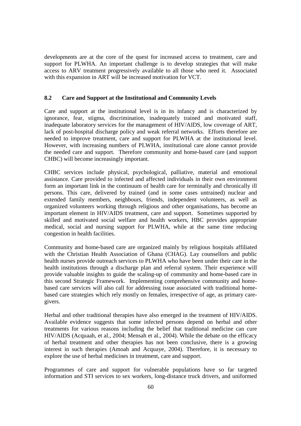developments are at the core of the quest for increased access to treatment, care and support for PLWHA. An important challenge is to develop strategies that will make access to ARV treatment progressively available to all those who need it. Associated with this expansion in ART will be increased motivation for VCT.

## **8.2 Care and Support at the Institutional and Community Levels**

Care and support at the institutional level is in its infancy and is characterized by ignorance, fear, stigma, discrimination, inadequately trained and motivated staff, inadequate laboratory services for the management of HIV/AIDS, low coverage of ART, lack of post-hospital discharge policy and weak referral networks. Efforts therefore are needed to improve treatment, care and support for PLWHA at the institutional level. However, with increasing numbers of PLWHA, institutional care alone cannot provide the needed care and support. Therefore community and home-based care (and support CHBC) will become increasingly important.

CHBC services include physical, psychological, palliative, material and emotional assistance. Care provided to infected and affected individuals in their own environment form an important link in the continuum of health care for terminally and chronically ill persons. This care, delivered by trained (and in some cases untrained) nuclear and extended family members, neighbours, friends, independent volunteers, as well as organized volunteers working through religious and other organisations, has become an important element in HIV/AIDS treatment, care and support. Sometimes supported by skilled and motivated social welfare and health workers, HBC provides appropriate medical, social and nursing support for PLWHA, while at the same time reducing congestion in health facilities.

Community and home-based care are organized mainly by religious hospitals affiliated with the Christian Health Association of Ghana (CHAG). Lay counsellors and public health nurses provide outreach services to PLWHA who have been under their care in the health institutions through a discharge plan and referral system. Their experience will provide valuable insights to guide the scaling-up of community and home-based care in this second Strategic Framework. Implementing comprehensive community and homebased care services will also call for addressing issue associated with traditional homebased care strategies which rely mostly on females, irrespective of age, as primary caregivers.

Herbal and other traditional therapies have also emerged in the treatment of HIV/AIDS. Available evidence suggests that some infected persons depend on herbal and other treatments for various reasons including the belief that traditional medicine can cure HIV/AIDS (Acquaah, et al., 2004; Mensah et al., 2004). While the debate on the efficacy of herbal treatment and other therapies has not been conclusive, there is a growing interest in such therapies (Amoah and Acquaye, 2004). Therefore, it is necessary to explore the use of herbal medicines in treatment, care and support.

Programmes of care and support for vulnerable populations have so far targeted information and STI services to sex workers, long-distance truck drivers, and uniformed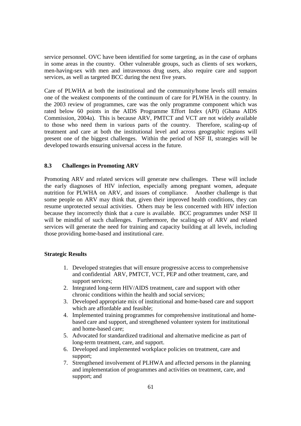service personnel. OVC have been identified for some targeting, as in the case of orphans in some areas in the country. Other vulnerable groups, such as clients of sex workers, men-having-sex with men and intravenous drug users, also require care and support services, as well as targeted BCC during the next five years.

Care of PLWHA at both the institutional and the community/home levels still remains one of the weakest components of the continuum of care for PLWHA in the country. In the 2003 review of programmes, care was the only programme component which was rated below 60 points in the AIDS Programme Effort Index (API) (Ghana AIDS Commission, 2004a). This is because ARV, PMTCT and VCT are not widely available to those who need them in various parts of the country. Therefore, scaling-up of treatment and care at both the institutional level and across geographic regions will present one of the biggest challenges. Within the period of NSF II, strategies will be developed towards ensuring universal access in the future.

# **8.3 Challenges in Promoting ARV**

Promoting ARV and related services will generate new challenges. These will include the early diagnoses of HIV infection, especially among pregnant women, adequate nutrition for PLWHA on ARV, and issues of compliance. Another challenge is that some people on ARV may think that, given their improved health conditions, they can resume unprotected sexual activities. Others may be less concerned with HIV infection because they incorrectly think that a cure is available. BCC programmes under NSF II will be mindful of such challenges. Furthermore, the scaling-up of ARV and related services will generate the need for training and capacity building at all levels, including those providing home-based and institutional care.

#### **Strategic Results**

- 1. Developed strategies that will ensure progressive access to comprehensive and confidential ARV, PMTCT, VCT, PEP and other treatment, care, and support services;
- 2. Integrated long-term HIV/AIDS treatment, care and support with other chronic conditions within the health and social services;
- 3. Developed appropriate mix of institutional and home-based care and support which are affordable and feasible;
- 4. Implemented training programmes for comprehensive institutional and homebased care and support, and strengthened volunteer system for institutional and home-based care;
- 5. Advocated for standardized traditional and alternative medicine as part of long-term treatment, care, and support.
- 6. Developed and implemented workplace policies on treatment, care and support;
- 7. Strengthened involvement of PLHWA and affected persons in the planning and implementation of programmes and activities on treatment, care, and support; and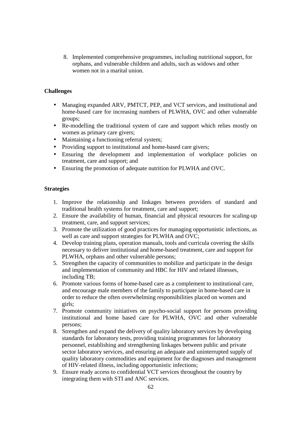8. Implemented comprehensive programmes, including nutritional support, for orphans, and vulnerable children and adults, such as widows and other women not in a marital union.

# **Challenges**

- Managing expanded ARV, PMTCT, PEP, and VCT services, and institutional and home-based care for increasing numbers of PLWHA, OVC and other vulnerable groups;
- Re-modelling the traditional system of care and support which relies mostly on women as primary care givers;
- Maintaining a functioning referral system;
- Providing support to institutional and home-based care givers;
- Ensuring the development and implementation of workplace policies on treatment, care and support; and
- Ensuring the promotion of adequate nutrition for PLWHA and OVC.

#### **Strategies**

- 1. Improve the relationship and linkages between providers of standard and traditional health systems for treatment, care and support;
- 2. Ensure the availability of human, financial and physical resources for scaling-up treatment, care, and support services;
- 3. Promote the utilization of good practices for managing opportunistic infections, as well as care and support strategies for PLWHA and OVC;
- 4. Develop training plans, operation manuals, tools and curricula covering the skills necessary to deliver institutional and home-based treatment, care and support for PLWHA, orphans and other vulnerable persons;
- 5. Strengthen the capacity of communities to mobilize and participate in the design and implementation of community and HBC for HIV and related illnesses, including TB;
- 6. Promote various forms of home-based care as a complement to institutional care, and encourage male members of the family to participate in home-based care in order to reduce the often overwhelming responsibilities placed on women and girls;
- 7. Promote community initiatives on psycho-social support for persons providing institutional and home based care for PLWHA, OVC and other vulnerable persons;
- 8. Strengthen and expand the delivery of quality laboratory services by developing standards for laboratory tests, providing training programmes for laboratory personnel, establishing and strengthening linkages between public and private sector laboratory services, and ensuring an adequate and uninterrupted supply of quality laboratory commodities and equipment for the diagnoses and management of HIV-related illness, including opportunistic infections;
- 9. Ensure ready access to confidential VCT services throughout the country by integrating them with STI and ANC services.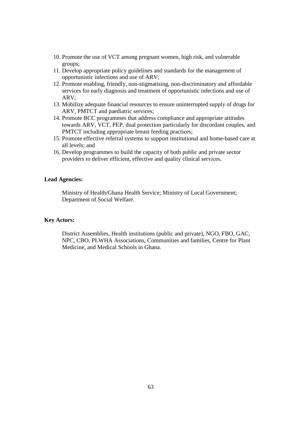- 10. Promote the use of VCT among pregnant women, high risk, and vulnerable groups;
- 11. Develop appropriate policy guidelines and standards for the management of opportunistic infections and use of ARV;
- 12. Promote enabling, friendly, non-stigmatising, non-discriminatory and affordable services for early diagnosis and treatment of opportunistic infections and use of ARV;
- 13. Mobilize adequate financial resources to ensure uninterrupted supply of drugs for ARV, PMTCT and paediatric services;
- 14. Promote BCC programmes that address compliance and appropriate attitudes towards ARV, VCT, PEP, dual protection particularly for discordant couples, and PMTCT including appropriate breast feeding practices;
- 15. Promote effective referral systems to support institutional and home-based care at all levels; and
- 16. Develop programmes to build the capacity of both public and private sector providers to deliver efficient, effective and quality clinical services.

#### **Lead Agencies:**

Ministry of Health/Ghana Health Service; Ministry of Local Government; Department of Social Welfare.

#### **Key Actors:**

District Assemblies, Health institutions (public and private), NGO, FBO, GAC, NPC, CBO, PLWHA Associations, Communities and families, Centre for Plant Medicine, and Medical Schools in Ghana.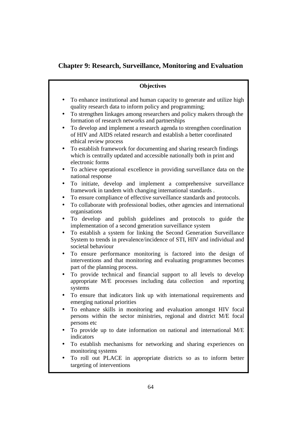# **Chapter 9: Research, Surveillance, Monitoring and Evaluation**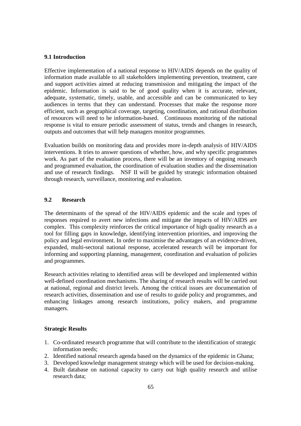#### **9.1 Introduction**

Effective implementation of a national response to HIV/AIDS depends on the quality of information made available to all stakeholders implementing prevention, treatment, care and support activities aimed at reducing transmission and mitigating the impact of the epidemic. Information is said to be of good quality when it is accurate, relevant, adequate, systematic, timely, usable, and accessible and can be communicated to key audiences in terms that they can understand. Processes that make the response more efficient, such as geographical coverage, targeting, coordination, and rational distribution of resources will need to be information-based. Continuous monitoring of the national response is vital to ensure periodic assessment of status, trends and changes in research, outputs and outcomes that will help managers monitor programmes.

Evaluation builds on monitoring data and provides more in-depth analysis of HIV/AIDS interventions. It tries to answer questions of whether, how, and why specific programmes work. As part of the evaluation process, there will be an inventory of ongoing research and programmed evaluation, the coordination of evaluation studies and the dissemination and use of research findings. NSF II will be guided by strategic information obtained through research, surveillance, monitoring and evaluation.

# **9.2 Research**

The determinants of the spread of the HIV/AIDS epidemic and the scale and types of responses required to avert new infections and mitigate the impacts of HIV/AIDS are complex. This complexity reinforces the critical importance of high quality research as a tool for filling gaps in knowledge, identifying intervention priorities, and improving the policy and legal environment. In order to maximise the advantages of an evidence-driven, expanded, multi-sectoral national response, accelerated research will be important for informing and supporting planning, management, coordination and evaluation of policies and programmes.

Research activities relating to identified areas will be developed and implemented within well-defined coordination mechanisms. The sharing of research results will be carried out at national, regional and district levels. Among the critical issues are documentation of research activities, dissemination and use of results to guide policy and programmes, and enhancing linkages among research institutions, policy makers, and programme managers.

#### **Strategic Results**

- 1. Co-ordinated research programme that will contribute to the identification of strategic information needs;
- 2. Identified national research agenda based on the dynamics of the epidemic in Ghana;
- 3. Developed knowledge management strategy which will be used for decision-making.
- 4. Built database on national capacity to carry out high quality research and utilise research data;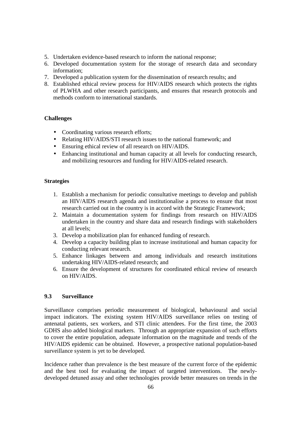- 5. Undertaken evidence-based research to inform the national response;
- 6. Developed documentation system for the storage of research data and secondary information;
- 7. Developed a publication system for the dissemination of research results; and
- 8. Established ethical review process for HIV/AIDS research which protects the rights of PLWHA and other research participants, and ensures that research protocols and methods conform to international standards.

## **Challenges**

- Coordinating various research efforts;
- Relating HIV/AIDS/STI research issues to the national framework; and
- Ensuring ethical review of all research on HIV/AIDS.
- Enhancing institutional and human capacity at all levels for conducting research, and mobilizing resources and funding for HIV/AIDS-related research.

#### **Strategies**

- 1. Establish a mechanism for periodic consultative meetings to develop and publish an HIV/AIDS research agenda and institutionalise a process to ensure that most research carried out in the country is in accord with the Strategic Framework;
- 2. Maintain a documentation system for findings from research on HIV/AIDS undertaken in the country and share data and research findings with stakeholders at all levels;
- 3. Develop a mobilization plan for enhanced funding of research.
- 4. Develop a capacity building plan to increase institutional and human capacity for conducting relevant research.
- 5. Enhance linkages between and among individuals and research institutions undertaking HIV/AIDS-related research; and
- 6. Ensure the development of structures for coordinated ethical review of research on HIV/AIDS.

# **9.3 Surveillance**

Surveillance comprises periodic measurement of biological, behavioural and social impact indicators. The existing system HIV/AIDS surveillance relies on testing of antenatal patients, sex workers, and STI clinic attendees. For the first time, the 2003 GDHS also added biological markers. Through an appropriate expansion of such efforts to cover the entire population, adequate information on the magnitude and trends of the HIV/AIDS epidemic can be obtained. However, a prospective national population-based surveillance system is yet to be developed.

Incidence rather than prevalence is the best measure of the current force of the epidemic and the best tool for evaluating the impact of targeted interventions. The newlydeveloped detuned assay and other technologies provide better measures on trends in the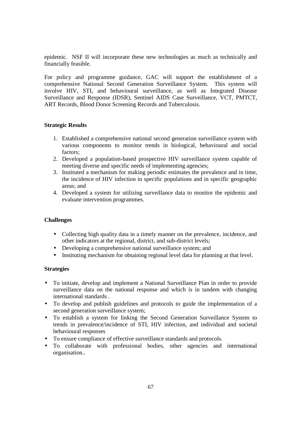epidemic. NSF II will incorporate these new technologies as much as technically and financially feasible.

For policy and programme guidance, GAC will support the establishment of a comprehensive National Second Generation Surveillance System. This system will involve HIV, STI, and behavioural surveillance, as well as Integrated Disease Surveillance and Response (IDSR), Sentinel AIDS Case Surveillance, VCT, PMTCT, ART Records, Blood Donor Screening Records and Tuberculosis.

## **Strategic Results**

- 1. Established a comprehensive national second generation surveillance system with various components to monitor trends in biological, behavioural and social factors;
- 2. Developed a population-based prospective HIV surveillance system capable of meeting diverse and specific needs of implementing agencies;
- 3. Instituted a mechanism for making periodic estimates the prevalence and in time, the incidence of HIV infection in specific populations and in specific geographic areas; and
- 4. Developed a system for utilizing surveillance data to monitor the epidemic and evaluate intervention programmes.

#### **Challenges**

- Collecting high quality data in a timely manner on the prevalence, incidence, and other indicators at the regional, district, and sub-district levels;
- Developing a comprehensive national surveillance system; and
- Instituting mechanism for obtaining regional level data for planning at that level.

#### **Strategies**

- To initiate, develop and implement a National Surveillance Plan in order to provide surveillance data on the national response and which is in tandem with changing international standards .
- To develop and publish guidelines and protocols to guide the implementation of a second generation surveillance system;
- To establish a system for linking the Second Generation Surveillance System to trends in prevalence/incidence of STI, HIV infection, and individual and societal behavioural responses
- To ensure compliance of effective surveillance standards and protocols.
- To collaborate with professional bodies, other agencies and international organisation..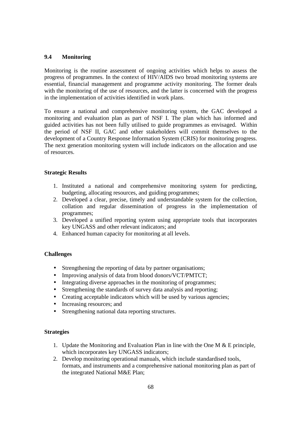# **9.4 Monitoring**

Monitoring is the routine assessment of ongoing activities which helps to assess the progress of programmes. In the context of HIV/AIDS two broad monitoring systems are essential, financial management and programme activity monitoring. The former deals with the monitoring of the use of resources, and the latter is concerned with the progress in the implementation of activities identified in work plans.

To ensure a national and comprehensive monitoring system, the GAC developed a monitoring and evaluation plan as part of NSF I. The plan which has informed and guided activities has not been fully utilised to guide programmes as envisaged. Within the period of NSF II, GAC and other stakeholders will commit themselves to the development of a Country Response Information System (CRIS) for monitoring progress. The next generation monitoring system will include indicators on the allocation and use of resources.

#### **Strategic Results**

- 1. Instituted a national and comprehensive monitoring system for predicting, budgeting, allocating resources, and guiding programmes;
- 2. Developed a clear, precise, timely and understandable system for the collection, collation and regular dissemination of progress in the implementation of programmes;
- 3. Developed a unified reporting system using appropriate tools that incorporates key UNGASS and other relevant indicators; and
- 4. Enhanced human capacity for monitoring at all levels.

#### **Challenges**

- Strengthening the reporting of data by partner organisations;
- Improving analysis of data from blood donors/VCT/PMTCT;
- Integrating diverse approaches in the monitoring of programmes;
- Strengthening the standards of survey data analysis and reporting;
- Creating acceptable indicators which will be used by various agencies;
- Increasing resources; and
- Strengthening national data reporting structures.

#### **Strategies**

- 1. Update the Monitoring and Evaluation Plan in line with the One M  $\&$  E principle, which incorporates key UNGASS indicators;
- 2. Develop monitoring operational manuals, which include standardised tools, formats, and instruments and a comprehensive national monitoring plan as part of the integrated National M&E Plan;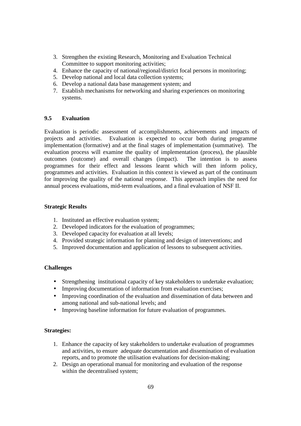- 3. Strengthen the existing Research, Monitoring and Evaluation Technical Committee to support monitoring activities;
- 4. Enhance the capacity of national/regional/district focal persons in monitoring;
- 5. Develop national and local data collection systems;
- 6. Develop a national data base management system; and
- 7. Establish mechanisms for networking and sharing experiences on monitoring systems.

## **9.5 Evaluation**

Evaluation is periodic assessment of accomplishments, achievements and impacts of projects and activities. Evaluation is expected to occur both during programme implementation (formative) and at the final stages of implementation (summative). The evaluation process will examine the quality of implementation (process), the plausible outcomes (outcome) and overall changes (impact). The intention is to assess programmes for their effect and lessons learnt which will then inform policy, programmes and activities. Evaluation in this context is viewed as part of the continuum for improving the quality of the national response. This approach implies the need for annual process evaluations, mid-term evaluations, and a final evaluation of NSF II.

#### **Strategic Results**

- 1. Instituted an effective evaluation system;
- 2. Developed indicators for the evaluation of programmes;
- 3. Developed capacity for evaluation at all levels;
- 4. Provided strategic information for planning and design of interventions; and
- 5. Improved documentation and application of lessons to subsequent activities.

#### **Challenges**

- Strengthening institutional capacity of key stakeholders to undertake evaluation;
- Improving documentation of information from evaluation exercises;
- Improving coordination of the evaluation and dissemination of data between and among national and sub-national levels; and
- Improving baseline information for future evaluation of programmes.

## **Strategies:**

- 1. Enhance the capacity of key stakeholders to undertake evaluation of programmes and activities, to ensure adequate documentation and dissemination of evaluation reports, and to promote the utilisation evaluations for decision-making;
- 2. Design an operational manual for monitoring and evaluation of the response within the decentralised system;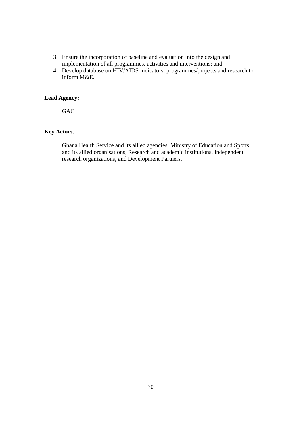- 3. Ensure the incorporation of baseline and evaluation into the design and implementation of all programmes, activities and interventions; and
- 4. Develop database on HIV/AIDS indicators, programmes/projects and research to inform M&E.

# **Lead Agency:**

G<sub>AC</sub>

# **Key Actors**:

Ghana Health Service and its allied agencies, Ministry of Education and Sports and its allied organisations, Research and academic institutions, Independent research organizations, and Development Partners.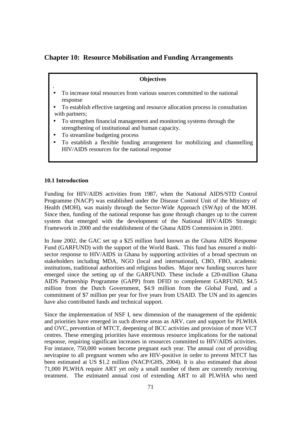# **Chapter 10: Resource Mobilisation and Funding Arrangements**

#### **Objectives**

- To increase total resources from various sources committed to the national response
- To establish effective targeting and resource allocation process in consultation with partners:
- To strengthen financial management and monitoring systems through the strengthening of institutional and human capacity.
- To streamline budgeting process
- To establish a flexible funding arrangement for mobilizing and channelling HIV/AIDS resources for the national response

#### **10.1 Introduction**

.

Funding for HIV/AIDS activities from 1987, when the National AIDS/STD Control Programme (NACP) was established under the Disease Control Unit of the Ministry of Health (MOH), was mainly through the Sector-Wide Approach (SWAp) of the MOH. Since then, funding of the national response has gone through changes up to the current system that emerged with the development of the National HIV/AIDS Strategic Framework in 2000 and the establishment of the Ghana AIDS Commission in 2001.

In June 2002, the GAC set up a \$25 million fund known as the Ghana AIDS Response Fund (GARFUND) with the support of the World Bank. This fund has ensured a multisector response to HIV/AIDS in Ghana by supporting activities of a broad spectrum on stakeholders including MDA, NGO (local and international), CBO, FBO, academic institutions, traditional authorities and religious bodies. Major new funding sources have emerged since the setting up of the GARFUND. These include a £20-million Ghana AIDS Partnership Programme (GAPP) from DFID to complement GARFUND, \$4.5 million from the Dutch Government, \$4.9 million from the Global Fund, and a commitment of \$7 million per year for five years from USAID. The UN and its agencies have also contributed funds and technical support.

Since the implementation of NSF I, new dimension of the management of the epidemic and priorities have emerged in such diverse areas as ARV, care and support for PLWHA and OVC, prevention of MTCT, deepening of BCC activities and provision of more VCT centres. These emerging priorities have enormous resource implications for the national response, requiring significant increases in resources committed to HIV/AIDS activities. For instance, 750,000 women become pregnant each year. The annual cost of providing nevirapine to all pregnant women who are HIV-positive in order to prevent MTCT has been estimated at US \$1.2 million (NACP/GHS, 2004). It is also estimated that about 71,000 PLWHA require ART yet only a small number of them are currently receiving treatment. The estimated annual cost of extending ART to all PLWHA who need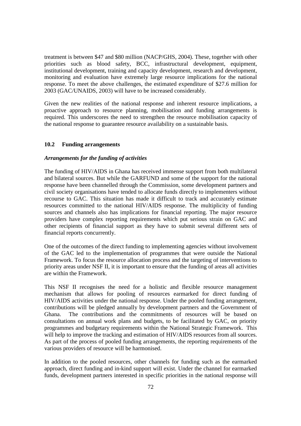treatment is between \$47 and \$80 million (NACP/GHS, 2004). These, together with other priorities such as blood safety, BCC, infrastructural development, equipment, institutional development, training and capacity development, research and development, monitoring and evaluation have extremely large resource implications for the national response. To meet the above challenges, the estimated expenditure of \$27.6 million for 2003 (GAC/UNAIDS, 2003) will have to be increased considerably.

Given the new realities of the national response and inherent resource implications, a proactive approach to resource planning, mobilisation and funding arrangements is required. This underscores the need to strengthen the resource mobilisation capacity of the national response to guarantee resource availability on a sustainable basis.

#### **10.2 Funding arrangements**

#### *Arrangements for the funding of activities*

The funding of HIV/AIDS in Ghana has received immense support from both multilateral and bilateral sources. But while the GARFUND and some of the support for the national response have been channelled through the Commission, some development partners and civil society organisations have tended to allocate funds directly to implementers without recourse to GAC. This situation has made it difficult to track and accurately estimate resources committed to the national HIV/AIDS response. The multiplicity of funding sources and channels also has implications for financial reporting. The major resource providers have complex reporting requirements which put serious strain on GAC and other recipients of financial support as they have to submit several different sets of financial reports concurrently.

One of the outcomes of the direct funding to implementing agencies without involvement of the GAC led to the implementation of programmes that were outside the National Framework. To focus the resource allocation process and the targeting of interventions to priority areas under NSF II, it is important to ensure that the funding of areas all activities are within the Framework.

This NSF II recognises the need for a holistic and flexible resource management mechanism that allows for pooling of resources earmarked for direct funding of HIV/AIDS activities under the national response. Under the pooled funding arrangement, contributions will be pledged annually by development partners and the Government of Ghana. The contributions and the commitments of resources will be based on consultations on annual work plans and budgets, to be facilitated by GAC, on priority programmes and budgetary requirements within the National Strategic Framework. This will help to improve the tracking and estimation of HIV/AIDS resources from all sources. As part of the process of pooled funding arrangements, the reporting requirements of the various providers of resource will be harmonised.

In addition to the pooled resources, other channels for funding such as the earmarked approach, direct funding and in-kind support will exist. Under the channel for earmarked funds, development partners interested in specific priorities in the national response will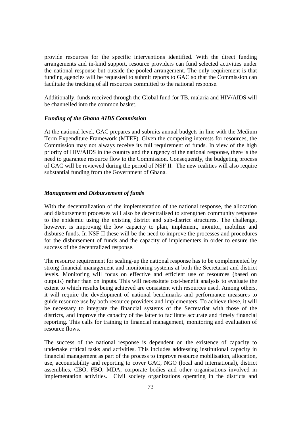provide resources for the specific interventions identified. With the direct funding arrangements and in-kind support, resource providers can fund selected activities under the national response but outside the pooled arrangement. The only requirement is that funding agencies will be requested to submit reports to GAC so that the Commission can facilitate the tracking of all resources committed to the national response.

Additionally, funds received through the Global fund for TB, malaria and HIV/AIDS will be channelled into the common basket.

#### *Funding of the Ghana AIDS Commission*

At the national level, GAC prepares and submits annual budgets in line with the Medium Term Expenditure Framework (MTEF). Given the competing interests for resources, the Commission may not always receive its full requirement of funds. In view of the high priority of HIV/AIDS in the country and the urgency of the national response, there is the need to guarantee resource flow to the Commission. Consequently, the budgeting process of GAC will be reviewed during the period of NSF II. The new realities will also require substantial funding from the Government of Ghana.

#### *Management and Disbursement of funds*

With the decentralization of the implementation of the national response, the allocation and disbursement processes will also be decentralised to strengthen community response to the epidemic using the existing district and sub-district structures. The challenge, however, is improving the low capacity to plan, implement, monitor, mobilize and disburse funds. In NSF II these will be the need to improve the processes and procedures for the disbursement of funds and the capacity of implementers in order to ensure the success of the decentralized response.

The resource requirement for scaling-up the national response has to be complemented by strong financial management and monitoring systems at both the Secretariat and district levels. Monitoring will focus on effective and efficient use of resources (based on outputs) rather than on inputs. This will necessitate cost-benefit analysis to evaluate the extent to which results being achieved are consistent with resources used. Among others, it will require the development of national benchmarks and performance measures to guide resource use by both resource providers and implementers. To achieve these, it will be necessary to integrate the financial systems of the Secretariat with those of the districts, and improve the capacity of the latter to facilitate accurate and timely financial reporting. This calls for training in financial management, monitoring and evaluation of resource flows.

The success of the national response is dependent on the existence of capacity to undertake critical tasks and activities. This includes addressing institutional capacity in financial management as part of the process to improve resource mobilisation, allocation, use, accountability and reporting to cover GAC, NGO (local and international), district assemblies, CBO, FBO, MDA, corporate bodies and other organisations involved in implementation activities. Civil society organizations operating in the districts and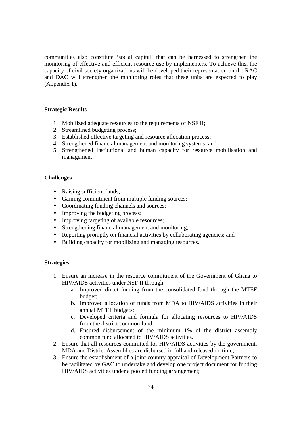communities also constitute 'social capital' that can be harnessed to strengthen the monitoring of effective and efficient resource use by implementers. To achieve this, the capacity of civil society organizations will be developed their representation on the RAC and DAC will strengthen the monitoring roles that these units are expected to play (Appendix 1).

### **Strategic Results**

- 1. Mobilized adequate resources to the requirements of NSF II;
- 2. Streamlined budgeting process;
- 3. Established effective targeting and resource allocation process;
- 4. Strengthened financial management and monitoring systems; and
- 5. Strengthened institutional and human capacity for resource mobilisation and management.

### **Challenges**

- Raising sufficient funds;
- Gaining commitment from multiple funding sources;
- Coordinating funding channels and sources;
- Improving the budgeting process;
- Improving targeting of available resources;
- Strengthening financial management and monitoring;
- Reporting promptly on financial activities by collaborating agencies; and
- Building capacity for mobilizing and managing resources.

### **Strategies**

- 1. Ensure an increase in the resource commitment of the Government of Ghana to HIV/AIDS activities under NSF II through:
	- a. Improved direct funding from the consolidated fund through the MTEF budget;
	- b. Improved allocation of funds from MDA to HIV/AIDS activities in their annual MTEF budgets;
	- c. Developed criteria and formula for allocating resources to HIV/AIDS from the district common fund;
	- d. Ensured disbursement of the minimum 1% of the district assembly common fund allocated to HIV/AIDS activities.
- 2. Ensure that all resources committed for HIV/AIDS activities by the government, MDA and District Assemblies are disbursed in full and released on time;
- 3. Ensure the establishment of a joint country appraisal of Development Partners to be facilitated by GAC to undertake and develop one project document for funding HIV/AIDS activities under a pooled funding arrangement;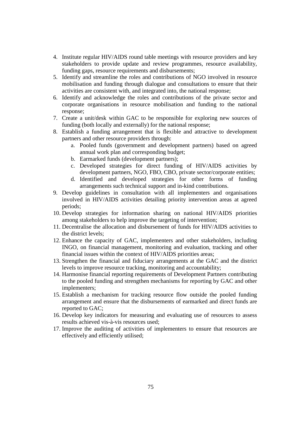- 4. Institute regular HIV/AIDS round table meetings with resource providers and key stakeholders to provide update and review programmes, resource availability, funding gaps, resource requirements and disbursements;
- 5. Identify and streamline the roles and contributions of NGO involved in resource mobilisation and funding through dialogue and consultations to ensure that their activities are consistent with, and integrated into, the national response;
- 6. Identify and acknowledge the roles and contributions of the private sector and corporate organisations in resource mobilisation and funding to the national response;
- 7. Create a unit/desk within GAC to be responsible for exploring new sources of funding (both locally and externally) for the national response;
- 8. Establish a funding arrangement that is flexible and attractive to development partners and other resource providers through:
	- a. Pooled funds (government and development partners) based on agreed annual work plan and corresponding budget;
	- b. Earmarked funds (development partners);
	- c. Developed strategies for direct funding of HIV/AIDS activities by development partners, NGO, FBO, CBO, private sector/corporate entities;
	- d. Identified and developed strategies for other forms of funding arrangements such technical support and in-kind contributions.
- 9. Develop guidelines in consultation with all implementers and organisations involved in HIV/AIDS activities detailing priority intervention areas at agreed periods;
- 10. Develop strategies for information sharing on national HIV/AIDS priorities among stakeholders to help improve the targeting of intervention;
- 11. Decentralise the allocation and disbursement of funds for HIV/AIDS activities to the district levels;
- 12. Enhance the capacity of GAC, implementers and other stakeholders, including INGO, on financial management, monitoring and evaluation, tracking and other financial issues within the context of HIV/AIDS priorities areas;
- 13. Strengthen the financial and fiduciary arrangements at the GAC and the district levels to improve resource tracking, monitoring and accountability;
- 14. Harmonise financial reporting requirements of Development Partners contributing to the pooled funding and strengthen mechanisms for reporting by GAC and other implementers;
- 15. Establish a mechanism for tracking resource flow outside the pooled funding arrangement and ensure that the disbursements of earmarked and direct funds are reported to GAC;
- 16. Develop key indicators for measuring and evaluating use of resources to assess results achieved vis-à-vis resources used;
- 17. Improve the auditing of activities of implementers to ensure that resources are effectively and efficiently utilised;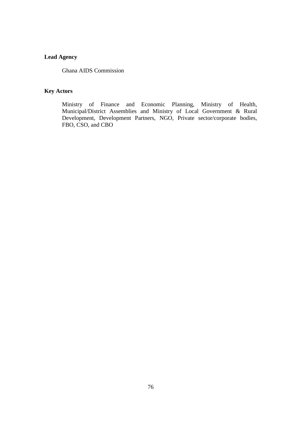# **Lead Agency**

Ghana AIDS Commission

# **Key Actors**

Ministry of Finance and Economic Planning, Ministry of Health, Municipal/District Assemblies and Ministry of Local Government & Rural Development, Development Partners, NGO, Private sector/corporate bodies, FBO, CSO, and CBO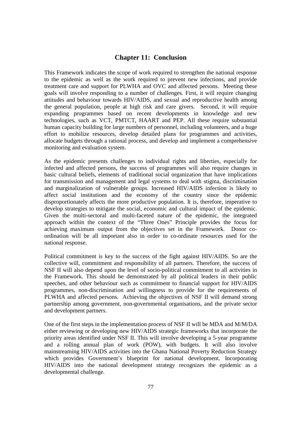### **Chapter 11: Conclusion**

This Framework indicates the scope of work required to strengthen the national response to the epidemic as well as the work required to prevent new infections, and provide treatment care and support for PLWHA and OVC and affected persons. Meeting these goals will involve responding to a number of challenges. First, it will require changing attitudes and behaviour towards HIV/AIDS, and sexual and reproductive health among the general population, people at high risk and care givers. Second, it will require expanding programmes based on recent developments in knowledge and new technologies, such as VCT, PMTCT, HAART and PEP. All these require substantial human capacity building for large numbers of personnel, including volunteers, and a huge effort to mobilize resources, develop detailed plans for programmes and activities, allocate budgets through a rational process, and develop and implement a comprehensive monitoring and evaluation system.

As the epidemic presents challenges to individual rights and liberties, especially for infected and affected persons, the success of programmes will also require changes in basic cultural beliefs, elements of traditional social organization that have implications for transmission and management and legal systems to deal with stigma, discrimination and marginalization of vulnerable groups. Increased HIV/AIDS infection is likely to affect social institutions and the economy of the country since the epidemic disproportionately affects the more productive population. It is, therefore, imperative to develop strategies to mitigate the social, economic and cultural impact of the epidemic. Given the multi-sectoral and multi-faceted nature of the epidemic, the integrated approach within the context of the "Three Ones" Principle provides the focus for achieving maximum output from the objectives set in the Framework. Donor coordination will be all important also in order to co-ordinate resources used for the national response.

Political commitment is key to the success of the fight against HIV/AIDS. So are the collective will, commitment and responsibility of all partners. Therefore, the success of NSF II will also depend upon the level of socio-political commitment to all activities in the Framework. This should be demonstrated by all political leaders in their public speeches, and other behaviour such as commitment to financial support for HIV/AIDS programmes, non-discrimination and willingness to provide for the requirements of PLWHA and affected persons. Achieving the objectives of NSF II will demand strong partnership among government, non-governmental organisations, and the private sector and development partners.

One of the first steps in the implementation process of NSF II will be MDA and M/M/DA either reviewing or developing new HIV/AIDS strategic frameworks that incorporate the priority areas identified under NSF II. This will involve developing a 5-year programme and a rolling annual plan of work (POW), with budgets. It will also involve mainstreaming HIV/AIDS activities into the Ghana National Poverty Reduction Strategy which provides Government's blueprint for national development. Incorporating HIV/AIDS into the national development strategy recognizes the epidemic as a developmental challenge.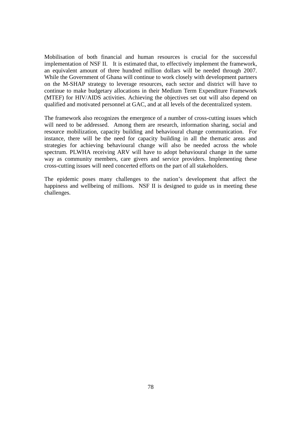Mobilisation of both financial and human resources is crucial for the successful implementation of NSF II. It is estimated that, to effectively implement the framework, an equivalent amount of three hundred million dollars will be needed through 2007. While the Government of Ghana will continue to work closely with development partners on the M-SHAP strategy to leverage resources, each sector and district will have to continue to make budgetary allocations in their Medium Term Expenditure Framework (MTEF) for HIV/AIDS activities. Achieving the objectives set out will also depend on qualified and motivated personnel at GAC, and at all levels of the decentralized system.

The framework also recognizes the emergence of a number of cross-cutting issues which will need to be addressed. Among them are research, information sharing, social and resource mobilization, capacity building and behavioural change communication. For instance, there will be the need for capacity building in all the thematic areas and strategies for achieving behavioural change will also be needed across the whole spectrum. PLWHA receiving ARV will have to adopt behavioural change in the same way as community members, care givers and service providers. Implementing these cross-cutting issues will need concerted efforts on the part of all stakeholders.

The epidemic poses many challenges to the nation's development that affect the happiness and wellbeing of millions. NSF II is designed to guide us in meeting these challenges.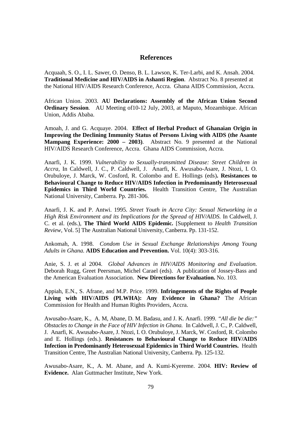### **References**

Acquaah, S. O., I. L. Sawer, O. Denso, B. L. Lawson, K. Ter-Larbi, and K. Ansah. 2004. **Traditional Medicine and HIV/AIDS in Ashanti Region**. Abstract No. 8 presented at the National HIV/AIDS Research Conference, Accra. Ghana AIDS Commission, Accra.

African Union. 2003. **AU Declarations: Assembly of the African Union Second Ordinary Session.** AU Meeting of 10-12 July, 2003, at Maputo, Mozambique. African Union, Addis Ababa.

Amoah, J. and G. Acquaye. 2004. **Effect of Herbal Product of Ghanaian Origin in Improving the Declining Immunity Status of Persons Living with AIDS (the Asante Mampang Experience: 2000 – 2003)**. Abstract No. 9 presented at the National HIV/AIDS Research Conference, Accra. Ghana AIDS Commission, Accra.

Anarfi, J. K. 1999. *Vulnerability to Sexually-transmitted Disease: Street Children in Accra,* In Caldwell, J. C., P. Caldwell, J. Anarfi, K. Awusabo-Asare, J. Ntozi, I. O. Orubuloye, J. Marck, W. Cosford, R. Colombo and E. Hollings (eds)**. Resistances to Behavioural Change to Reduce HIV/AIDS Infection in Predominantly Heterosexual Epidemics in Third World Countries.** Health Transition Centre, The Australian National University, Canberra. Pp. 281-306.

Anarfi, J. K. and P. Antwi. 1995. *Street Youth in Accra City: Sexual Networking in a High Risk Environment and its Implications for the Spread of HIV/AIDS.* In Caldwell, J. C. et al. (eds.), **The Third World AIDS Epidemic.** [Supplement to *Health Transition Review,* Vol. 5] The Australian National University, Canberra. Pp. 131-152.

Ankomah, A. 1998. *Condom Use in Sexual Exchange Relationships Among Young Adults in Ghana.* **AIDS Education and Prevention.** Vol. 10(4): 303-316.

Anie, S. J. et al 2004. *Global Advances in HIV/AIDS Monitoring and Evaluation.* Deborah Rugg, Greet Peersman, Michel Carael (eds). A publication of Jossey-Bass and the American Evaluation Association. **New Directions for Evaluation.** No. 103.

Appiah, E.N., S. Afrane, and M.P. Price. 1999. **Infringements of the Rights of People Living with HIV/AIDS (PLWHA): Any Evidence in Ghana?** The African Commission for Health and Human Rights Providers, Accra.

Awusabo-Asare, K., A. M, Abane, D. M. Badasu, and J. K. Anarfi. 1999. *"All die be die:" Obstacles to Change in the Face of HIV Infection in Ghana.* In Caldwell, J. C., P. Caldwell, J. Anarfi, K. Awusabo-Asare, J. Ntozi, I. O. Orubuloye, J. Marck, W. Cosford, R. Colombo and E. Hollings (eds.). **Resistances to Behavioural Change to Reduce HIV/AIDS Infection in Predominantly Heterosexual Epidemics in Third World Countries.** Health Transition Centre, The Australian National University, Canberra. Pp. 125-132.

Awusabo-Asare, K., A. M. Abane, and A. Kumi-Kyereme. 2004. **HIV: Review of Evidence.** Alan Guttmacher Institute, New York.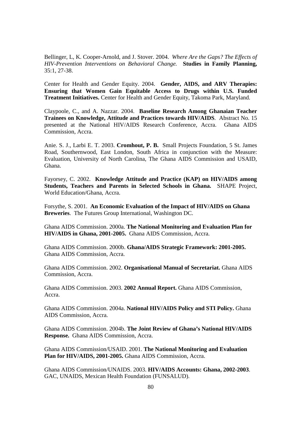Bellinger, L, K. Cooper-Arnold, and J. Stover. 2004. *Where Are the Gaps? The Effects of HIV-Prevention Interventions on Behavioral Change.* **Studies in Family Planning,** 35:1, 27-38.

Center for Health and Gender Equity. 2004. **Gender, AIDS, and ARV Therapies: Ensuring that Women Gain Equitable Access to Drugs within U.S. Funded Treatment Initiatives.** Center for Health and Gender Equity, Takoma Park, Maryland.

Claypoole, C., and A. Nazzar. 2004. **Baseline Research Among Ghanaian Teacher Trainees on Knowledge, Attitude and Practices towards HIV/AIDS**. Abstract No. 15 presented at the National HIV/AIDS Research Conference, Accra. Ghana AIDS Commission, Accra.

Anie. S. J., Larbi E. T. 2003. **Cromhout, P. B.** Small Projects Foundation, 5 St. James Road, Southernwood, East London, South Africa in conjunction with the Measure: Evaluation, University of North Carolina, The Ghana AIDS Commission and USAID, Ghana.

Fayorsey, C. 2002. **Knowledge Attitude and Practice (KAP) on HIV/AIDS among Students, Teachers and Parents in Selected Schools in Ghana.** SHAPE Project, World Education/Ghana, Accra.

Forsythe, S. 2001. **An Economic Evaluation of the Impact of HIV/AIDS on Ghana Breweries**. The Futures Group International, Washington DC.

Ghana AIDS Commission. 2000a. **The National Monitoring and Evaluation Plan for HIV/AIDS in Ghana, 2001-2005.** Ghana AIDS Commission, Accra.

Ghana AIDS Commission. 2000b. **Ghana/AIDS Strategic Framework: 2001-2005.** Ghana AIDS Commission, Accra.

Ghana AIDS Commission. 2002. **Organisational Manual of Secretariat.** Ghana AIDS Commission, Accra.

Ghana AIDS Commission. 2003. **2002 Annual Report.** Ghana AIDS Commission, Accra.

Ghana AIDS Commission. 2004a. **National HIV/AIDS Policy and STI Policy.** Ghana AIDS Commission, Accra.

Ghana AIDS Commission. 2004b. **The Joint Review of Ghana's National HIV/AIDS Response.** Ghana AIDS Commission, Accra.

Ghana AIDS Commission/USAID. 2001. **The National Monitoring and Evaluation Plan for HIV/AIDS, 2001-2005.** Ghana AIDS Commission, Accra.

Ghana AIDS Commission/UNAIDS. 2003. **HIV/AIDS Accounts: Ghana, 2002-2003**. GAC, UNAIDS, Mexican Health Foundation (FUNSALUD).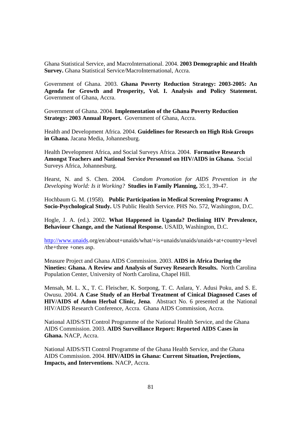Ghana Statistical Service, and MacroInternational. 2004. **2003 Demographic and Health Survey.** Ghana Statistical Service/MacroInternational, Accra.

Government of Ghana. 2003. **Ghana Poverty Reduction Strategy: 2003-2005: An Agenda for Growth and Prosperity, Vol. I. Analysis and Policy Statement.** Government of Ghana, Accra.

Government of Ghana. 2004. **Implementation of the Ghana Poverty Reduction Strategy: 2003 Annual Report.** Government of Ghana, Accra.

Health and Development Africa. 2004. **Guidelines for Research on High Risk Groups in Ghana.** Jacana Media, Johannesburg.

Health Development Africa, and Social Surveys Africa. 2004. **Formative Research Amongst Teachers and National Service Personnel on HIV/AIDS in Ghana.** Social Surveys Africa, Johannesburg.

Hearst, N. and S. Chen. 2004. *Condom Promotion for AIDS Prevention in the Developing World: Is it Working?* **Studies in Family Planning,** 35:1, 39-47.

Hochbaum G. M. (1958). **Public Participation in Medical Screening Programs: A Socio-Psychological Study.** US Public Health Service. PHS No. 572, Washington, D.C.

Hogle, J. A. (ed.). 2002. **What Happened in Uganda? Declining HIV Prevalence, Behaviour Change, and the National Response.** USAID, Washington, D.C.

http://www.unaids.org/en/about+unaids/what/+is+unaids/unaids/unaids+at+country+level /the+three +ones asp.

Measure Project and Ghana AIDS Commission. 2003. **AIDS in Africa During the Nineties: Ghana. A Review and Analysis of Survey Research Results.** North Carolina Population Center, University of North Carolina, Chapel Hill.

Mensah, M. L. X., T. C. Fleischer, K. Sorpong, T. C. Anlara, Y. Adusi Poku, and S. E. Owusu. 2004. **A Case Study of an Herbal Treatment of Cinical Diagnosed Cases of HIV/AIDS of Adom Herbal Clinic, Jena**. Abstract No. 6 presented at the National HIV/AIDS Research Conference, Accra. Ghana AIDS Commission, Accra.

National AIDS/STI Control Programme of the National Health Service, and the Ghana AIDS Commission. 2003. **AIDS Surveillance Report: Reported AIDS Cases in Ghana.** NACP, Accra.

National AIDS/STI Control Programme of the Ghana Health Service, and the Ghana AIDS Commission. 2004. **HIV/AIDS in Ghana: Current Situation, Projections, Impacts, and Interventions**. NACP, Accra.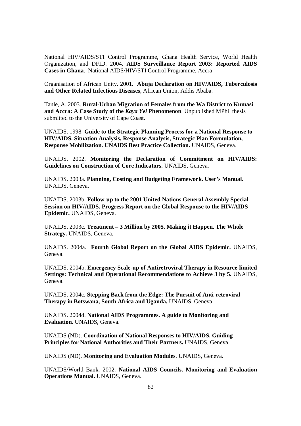National HIV/AIDS/STI Control Programme, Ghana Health Service, World Health Organization, and DFID. 2004. **AIDS Surveillance Report 2003: Reported AIDS Cases in Ghana**. National AIDS/HIV/STI Control Programme, Accra

Organisation of African Unity. 2001. **Abuja Declaration on HIV/AIDS, Tuberculosis and Other Related Infectious Diseases**, African Union, Addis Ababa.

Tanle, A. 2003. **Rural-Urban Migration of Females from the Wa District to Kumasi and Accra: A Case Study of the** *Kaya Yei* **Phenomenon**. Unpublished MPhil thesis submitted to the University of Cape Coast.

UNAIDS. 1998. **Guide to the Strategic Planning Process for a National Response to HIV/AIDS. Situation Analysis, Response Analysis, Strategic Plan Formulation, Response Mobilization. UNAIDS Best Practice Collection.** UNAIDS, Geneva.

UNAIDS. 2002. **Monitoring the Declaration of Commitment on HIV/AIDS: Guidelines on Construction of Core Indicators.** UNAIDS, Geneva.

UNAIDS. 2003a. **Planning, Costing and Budgeting Framework. User's Manual.**  UNAIDS, Geneva.

UNAIDS. 2003b. **Follow-up to the 2001 United Nations General Assembly Special Session on HIV/AIDS. Progress Report on the Global Response to the HIV/AIDS Epidemic.** UNAIDS, Geneva.

UNAIDS. 2003c. **Treatment – 3 Million by 2005. Making it Happen. The Whole Strategy.** UNAIDS, Geneva.

UNAIDS. 2004a. **Fourth Global Report on the Global AIDS Epidemic.** UNAIDS, Geneva.

UNAIDS. 2004b. **Emergency Scale-up of Antiretroviral Therapy in Resource-limited Settings: Technical and Operational Recommendations to Achieve 3 by 5.** UNAIDS, Geneva.

UNAIDS. 2004c. **Stepping Back from the Edge: The Pursuit of Anti-retroviral Therapy in Botswana, South Africa and Uganda.** UNAIDS, Geneva.

UNAIDS. 2004d. **National AIDS Programmes. A guide to Monitoring and Evaluation.** UNAIDS, Geneva.

UNAIDS (ND). **Coordination of National Responses to HIV/AIDS. Guiding Principles for National Authorities and Their Partners.** UNAIDS, Geneva.

UNAIDS (ND). **Monitoring and Evaluation Modules**. UNAIDS, Geneva.

UNAIDS/World Bank. 2002. **National AIDS Councils. Monitoring and Evaluation Operations Manual.** UNAIDS, Geneva.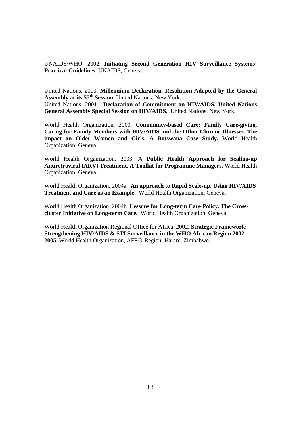UNAIDS/WHO. 2002. **Initiating Second Generation HIV Surveillance Systems: Practical Guidelines.** UNAIDS, Geneva.

United Nations. 2000. **Millennium Declaration. Resolution Adopted by the General Assembly at its 55th Session.** United Nations, New York. United Nations. 2001. **Declaration of Commitment on HIV/AIDS. United Nations General Assembly Special Session on HIV/AIDS**. United Nations, New York.

World Health Organization. 2000. **Community-based Care: Family Care-giving. Caring for Family Members with HIV/AIDS and the Other Chronic Illnesses. The impact on Older Women and Girls. A Botswana Case Study.** World Health Organization, Geneva.

World Health Organization. 2003. **A Public Health Approach for Scaling-up Antiretroviral (ARV) Treatment. A Toolkit for Programme Managers.** World Health Organization, Geneva.

World Health Organization. 2004a. **An approach to Rapid Scale-up. Using HIV/AIDS Treatment and Care as an Example.** World Health Organization, Geneva.

World Health Organization. 2004b. **Lessons for Long-term Care Policy. The Crosscluster Initiative on Long-term Care.** World Health Organization, Geneva.

World Health Organization Regional Office for Africa. 2002. **Strategic Framework: Strengthening HIV/AIDS & STI Surveillance in the WHO African Region 2002- 2005.** World Health Organization, AFRO-Region, Harare, Zimbabwe.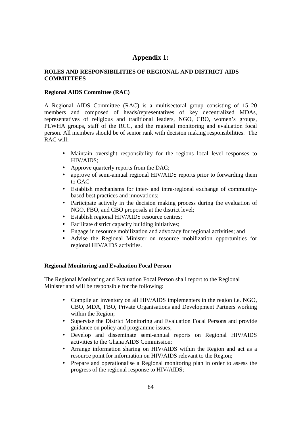# **Appendix 1:**

### **ROLES AND RESPONSIBILITIES OF REGIONAL AND DISTRICT AIDS COMMITTEES**

### **Regional AIDS Committee (RAC)**

A Regional AIDS Committee (RAC) is a multisectoral group consisting of 15–20 members and composed of heads/representatives of key decentralized MDAs, representatives of religious and traditional leaders, NGO, CBO, women's groups, PLWHA groups, staff of the RCC, and the regional monitoring and evaluation focal person. All members should be of senior rank with decision making responsibilities. The RAC will:

- Maintain oversight responsibility for the regions local level responses to HIV/AIDS;
- Approve quarterly reports from the DAC;
- approve of semi-annual regional HIV/AIDS reports prior to forwarding them to GAC
- Establish mechanisms for inter- and intra-regional exchange of communitybased best practices and innovations;
- Participate actively in the decision making process during the evaluation of NGO, FBO, and CBO proposals at the district level;
- Establish regional HIV/AIDS resource centres;
- Facilitate district capacity building initiatives;
- Engage in resource mobilization and advocacy for regional activities; and
- Advise the Regional Minister on resource mobilization opportunities for regional HIV/AIDS activities.

### **Regional Monitoring and Evaluation Focal Person**

The Regional Monitoring and Evaluation Focal Person shall report to the Regional Minister and will be responsible for the following:

- Compile an inventory on all HIV/AIDS implementers in the region i.e. NGO, CBO, MDA, FBO, Private Organisations and Development Partners working within the Region;
- Supervise the District Monitoring and Evaluation Focal Persons and provide guidance on policy and programme issues;
- Develop and disseminate semi-annual reports on Regional HIV/AIDS activities to the Ghana AIDS Commission;
- Arrange information sharing on HIV/AIDS within the Region and act as a resource point for information on HIV/AIDS relevant to the Region;
- Prepare and operationalise a Regional monitoring plan in order to assess the progress of the regional response to HIV/AIDS;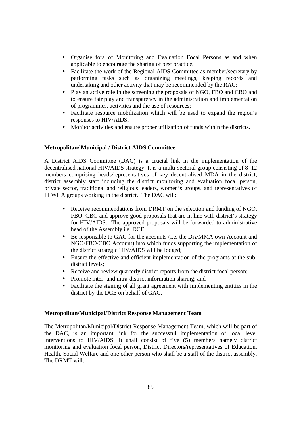- Organise fora of Monitoring and Evaluation Focal Persons as and when applicable to encourage the sharing of best practice.
- Facilitate the work of the Regional AIDS Committee as member/secretary by performing tasks such as organizing meetings, keeping records and undertaking and other activity that may be recommended by the RAC;
- Play an active role in the screening the proposals of NGO, FBO and CBO and to ensure fair play and transparency in the administration and implementation of programmes, activities and the use of resources;
- Facilitate resource mobilization which will be used to expand the region's responses to HIV/AIDS.
- Monitor activities and ensure proper utilization of funds within the districts.

### **Metropolitan/ Municipal / District AIDS Committee**

A District AIDS Committee (DAC) is a crucial link in the implementation of the decentralised national HIV/AIDS strategy. It is a multi-sectoral group consisting of 8–12 members comprising heads/representatives of key decentralised MDA in the district, district assembly staff including the district monitoring and evaluation focal person, private sector, traditional and religious leaders, women's groups, and representatives of PLWHA groups working in the district. The DAC will:

- Receive recommendations from DRMT on the selection and funding of NGO, FBO, CBO and approve good proposals that are in line with district's strategy for HIV/AIDS. The approved proposals will be forwarded to administrative head of the Assembly i.e. DCE;
- Be responsible to GAC for the accounts (i.e. the DA/MMA own Account and NGO/FBO/CBO Account) into which funds supporting the implementation of the district strategic HIV/AIDS will be lodged;
- Ensure the effective and efficient implementation of the programs at the subdistrict levels;
- Receive and review quarterly district reports from the district focal person;
- Promote inter- and intra-district information sharing; and
- Facilitate the signing of all grant agreement with implementing entities in the district by the DCE on behalf of GAC.

### **Metropolitan/Municipal/District Response Management Team**

The Metropolitan/Municipal/District Response Management Team, which will be part of the DAC, is an important link for the successful implementation of local level interventions to HIV/AIDS. It shall consist of five (5) members namely district monitoring and evaluation focal person, District Directors/representatives of Education, Health, Social Welfare and one other person who shall be a staff of the district assembly. The DRMT will: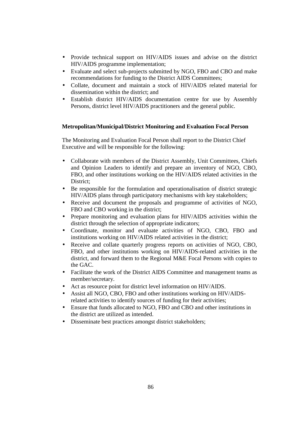- Provide technical support on HIV/AIDS issues and advise on the district HIV/AIDS programme implementation;
- Evaluate and select sub-projects submitted by NGO, FBO and CBO and make recommendations for funding to the District AIDS Committees;
- Collate, document and maintain a stock of HIV/AIDS related material for dissemination within the district; and
- Establish district HIV/AIDS documentation centre for use by Assembly Persons, district level HIV/AIDS practitioners and the general public.

### **Metropolitan/Municipal/District Monitoring and Evaluation Focal Person**

The Monitoring and Evaluation Focal Person shall report to the District Chief Executive and will be responsible for the following:

- Collaborate with members of the District Assembly, Unit Committees, Chiefs and Opinion Leaders to identify and prepare an inventory of NGO, CBO, FBO, and other institutions working on the HIV/AIDS related activities in the District;
- Be responsible for the formulation and operationalisation of district strategic HIV/AIDS plans through participatory mechanisms with key stakeholders;
- Receive and document the proposals and programme of activities of NGO, FBO and CBO working in the district;
- Prepare monitoring and evaluation plans for HIV/AIDS activities within the district through the selection of appropriate indicators;
- Coordinate, monitor and evaluate activities of NGO, CBO, FBO and institutions working on HIV/AIDS related activities in the district;
- Receive and collate quarterly progress reports on activities of NGO, CBO, FBO, and other institutions working on HIV/AIDS-related activities in the district, and forward them to the Regional M&E Focal Persons with copies to the GAC.
- Facilitate the work of the District AIDS Committee and management teams as member/secretary.
- Act as resource point for district level information on HIV/AIDS.
- Assist all NGO, CBO, FBO and other institutions working on HIV/AIDSrelated activities to identify sources of funding for their activities;
- Ensure that funds allocated to NGO, FBO and CBO and other institutions in the district are utilized as intended.
- Disseminate best practices amongst district stakeholders;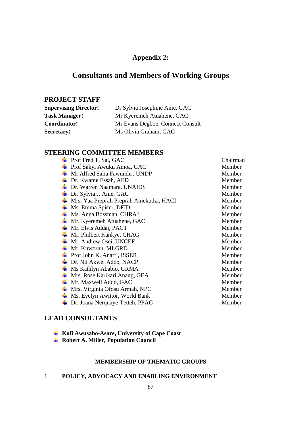# **Appendix 2:**

# **Consultants and Members of Working Groups**

# **PROJECT STAFF**

| <b>Supervising Director:</b> | Dr Sylvia Josephine Anie, GAC    |  |
|------------------------------|----------------------------------|--|
| <b>Task Manager:</b>         | Mr Kyeremeh Atuahene, GAC        |  |
| Coordinator:                 | Mr Evans Degboe, Connect Consult |  |
| Secretary:                   | Ms Olivia Graham, GAC            |  |

# **STEERING COMMITTEE MEMBERS**

|    | <b>Prof</b> Fred T. Sai, GAC                      | Chairman |
|----|---------------------------------------------------|----------|
| ч. | Prof Sakyi Awuku Amoa, GAC                        | Member   |
|    | $\blacksquare$ Mr Alfred Salia Fawundu, UNDP      | Member   |
| ۰. | Dr. Kwame Essah, AED                              | Member   |
| ч. | Dr. Warren Naamara, UNAIDS                        | Member   |
| ۰. | Dr. Sylvia J. Anie, GAC                           | Member   |
| ч. | Mrs. Yaa Preprah Preprah Amekudzi, HACI           | Member   |
| ۰. | Ms. Emma Spicer, DFID                             | Member   |
|    | Ms. Anna Bossman, CHRAJ                           | Member   |
| ۰. | Mr. Kyeremeh Atuahene, GAC                        | Member   |
|    | Mr. Elvis Addai, PACT                             | Member   |
| ۰. | Mr. Philbert Kankye, CHAG                         | Member   |
| ۰. | Mr. Andrew Osei, UNCEF                            | Member   |
| ۰. | Mr. Kuwornu, MLGRD                                | Member   |
| ш. | Prof John K. Anarfi, ISSER                        | Member   |
| ж. | Dr. Nii Akwei Addo, NACP                          | Member   |
| ъ. | Ms Kathlyn Ababio, GRMA                           | Member   |
| ÷  | Mrs. Rose Karikari Anang, GEA                     | Member   |
| Ф. | Mr. Maxwell Addo, GAC                             | Member   |
| ч. | Mrs. Virginia Ofosu Armah, NPC                    | Member   |
| 4. | Ms. Evelyn Awittor, World Bank                    | Member   |
|    | <b>Example 15 Dr.</b> Joana Nerquaye-Tetteh, PPAG | Member   |

# **LEAD CONSULTANTS**

| Kofi Awusabo-Asare, University of Cape Coast |
|----------------------------------------------|
|----------------------------------------------|

# **Robert A. Miller, Population Council**

### **MEMBERSHIP OF THEMATIC GROUPS**

# 1. **POLICY, ADVOCACY AND ENABLING ENVIRONMENT**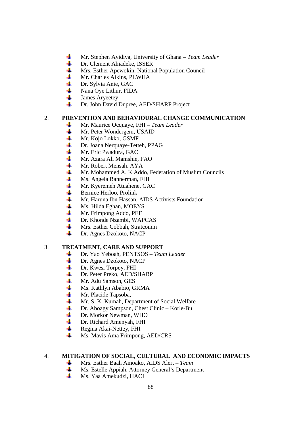- 4 Mr. Stephen Ayidiya, University of Ghana – *Team Leader*
- ₩. Dr. Clement Ahiadeke, ISSER
- 41 Mrs. Esther Apewokin, National Population Council
- 4 Mr. Charles Aikins, PLWHA
- d. Dr. Sylvia Anie, GAC
- 4. Nana Oye Lithur, FIDA
- $\pm$ James Aryeetey
- 41 Dr. John David Dupree, AED/SHARP Project

### 2. **PREVENTION AND BEHAVIOURAL CHANGE COMMUNICATION**

- Mr. Maurice Ocquaye, FHI *Team Leader* ÷
- 4 Mr. Peter Wondergem, USAID
- ÷ Mr. Kojo Lokko, GSMF
- 4 Dr. Joana Nerquaye-Tetteh, PPAG
- 4 Mr. Eric Pwadura, GAC
- 41 Mr. Azara Ali Mamshie, FAO
- 4 Mr. Robert Mensah. AYA
- ÷ Mr. Mohammed A. K Addo, Federation of Muslim Councils
- 4 Ms. Angela Bannerman, FHI
- $\ddagger$ Mr. Kyeremeh Atuahene, GAC
- ₩. Bernice Herloo, Prolink
- ÷. Mr. Haruna Ibn Hassan, AIDS Activists Foundation
- ۳. Ms. Hilda Eghan, MOEYS
- 4. Mr. Frimpong Addo, PEF
- 45 Dr. Khonde Nzambi, WAPCAS
- ₩. Mrs. Esther Cobbah, Stratcomm
- ₩. Dr. Agnes Dzokoto, NACP

### 3. **TREATMENT, CARE AND SUPPORT**

- Dr. Yao Yeboah, PENTSOS *Team Leader* ۰.
- ÷ Dr. Agnes Dzokoto, NACP
- 4 Dr. Kwesi Torpey, FHI
- ÷ Dr. Peter Preko, AED/SHARP
- -∦ Mr. Adu Samson, GES
- 4. Ms. Kathlyn Ababio, GRMA
- $\ddot{\phantom{a}}$ Mr. Placide Tapsoba,
- ÷. Mr. S. K. Kumah, Department of Social Welfare
- 4. Dr. Aboagy Sampson, Chest Clinic – Korle-Bu
- 4. Dr. Morkor Newman, WHO
- 4. Dr. Richard Amenyah, FHI
- ۳. Regina Akai-Nettey, FHI
- 4 Ms. Mavis Ama Frimpong, AED/CRS

### 4. **MITIGATION OF SOCIAL, CULTURAL AND ECONOMIC IMPACTS**

- Mrs. Esther Baah Amoako, AIDS Alert *Team*  ÷
- $\frac{1}{2}$ Ms. Estelle Appiah, Attorney General's Department
- 45 Ms. Yaa Amekudzi, HACI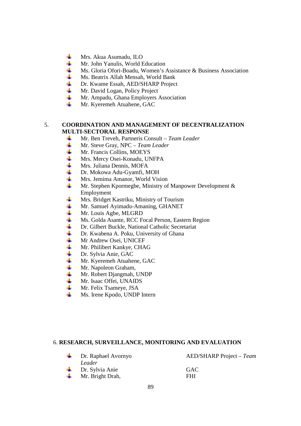- 4 Mrs. Akua Asumadu, ILO
- ₩. Mr. John Yanulis, World Education
- 41 Ms. Gloria Ofori-Boadu, Women's Assistance & Business Association
- **THE** Ms. Beatrix Allah Mensah, World Bank
- ₩. Dr. Kwame Essah, AED/SHARP Project
- $\ddagger$ Mr. David Logan, Policy Project
- ۰. Mr. Ampadu, Ghana Employers Association
- 4. Mr. Kyeremeh Atuahene, GAC

### 5. **COORDINATION AND MANAGEMENT OF DECENTRALIZATION MULTI-SECTORAL RESPONSE**

- Mr. Ben Treveh, Partneris Consult *Team Leader* ۳.
- 4 Mr. Steve Gray, NPC – *Team Leader*
- ÷ Mr. Francis Collins, MOEYS
- 41 Mrs. Mercy Osei-Konadu, UNFPA
- 4 Mrs. Juliana Dennis, MOFA
- ₩. Dr. Mokowa Adu-Gyamfi, MOH
- 4 Mrs. Jemima Amanor, World Vision
- 4. Mr. Stephen Kpormegbe, Ministry of Manpower Development & Employment
- 4 Mrs. Bridget Kastriku, Ministry of Tourism
- 4. Mr. Samuel Ayimadu-Amaning, GHANET
- 4 Mr. Louis Agbe, MLGRD
- ÷ Ms. Golda Asante, RCC Focal Person, Eastern Region
- 4. Dr. Gilbert Buckle, National Catholic Secretariat
- $\frac{1}{2}$ Dr. Kwabena A. Poku, University of Ghana
- 4. Mr Andrew Osei, UNICEF
- 4. Mr. Philibert Kankye, CHAG
- $\ddot{\bullet}$ Dr. Sylvia Anie, GAC
- ÷ Mr. Kyeremeh Atuahene, GAC
- ÷ Mr. Napoleon Graham,
- $\ddagger$ Mr. Robert Djangmah, UNDP
- ₩. Mr. Isaac Offei, UNAIDS
- 4 Mr. Felix Tsameye, JSA
- ₩. Ms. Irene Kpodo, UNDP Intern

### 6. **RESEARCH, SURVEILLANCE, MONITORING AND EVALUATION**

| Dr. Raphael Avornyo             | $AED/SHARP Project - Team$ |
|---------------------------------|----------------------------|
| Leader                          |                            |
| $\downarrow$ Dr. Sylvia Anie    | <b>GAC</b>                 |
| $\blacksquare$ Mr. Bright Drah, | FHI                        |
|                                 |                            |